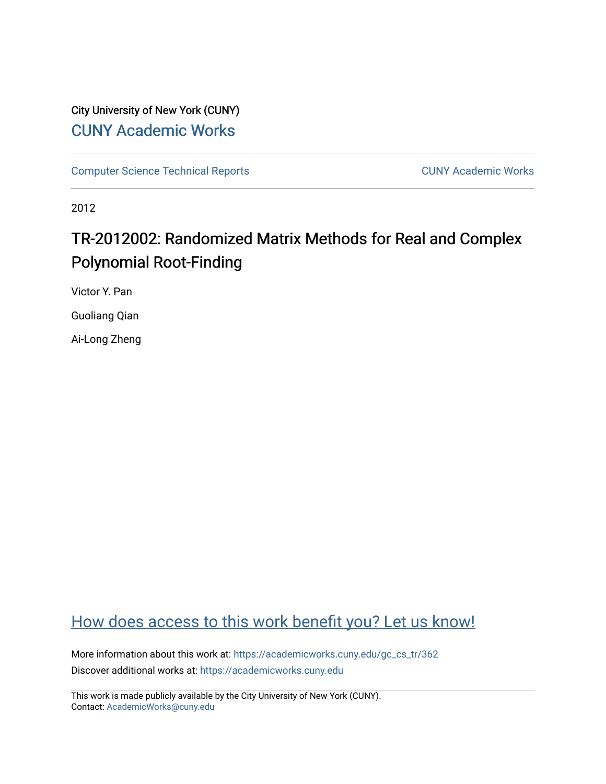# City University of New York (CUNY) [CUNY Academic Works](https://academicworks.cuny.edu/)

[Computer Science Technical Reports](https://academicworks.cuny.edu/gc_cs_tr) **CUNY Academic Works** CUNY Academic Works

2012

# TR-2012002: Randomized Matrix Methods for Real and Complex Polynomial Root-Finding

Victor Y. Pan

Guoliang Qian

Ai-Long Zheng

# [How does access to this work benefit you? Let us know!](http://ols.cuny.edu/academicworks/?ref=https://academicworks.cuny.edu/gc_cs_tr/362)

More information about this work at: [https://academicworks.cuny.edu/gc\\_cs\\_tr/362](https://academicworks.cuny.edu/gc_cs_tr/362)  Discover additional works at: [https://academicworks.cuny.edu](https://academicworks.cuny.edu/?)

This work is made publicly available by the City University of New York (CUNY). Contact: [AcademicWorks@cuny.edu](mailto:AcademicWorks@cuny.edu)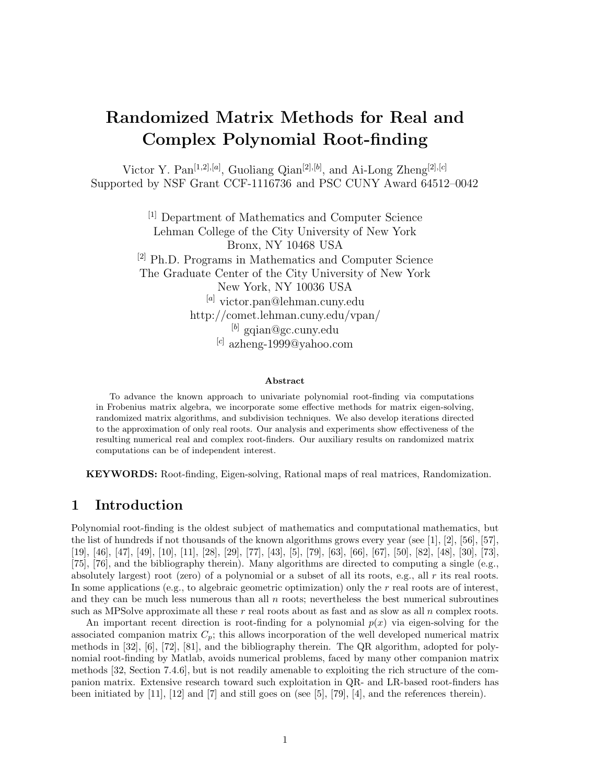# **Randomized Matrix Methods for Real and Complex Polynomial Root-finding**

Victor Y. Pan[1*,*2]*,*[*a*] , Guoliang Qian[2]*,*[*b*] , and Ai-Long Zheng[2]*,*[*c*] Supported by NSF Grant CCF-1116736 and PSC CUNY Award 64512–0042

> [1] Department of Mathematics and Computer Science Lehman College of the City University of New York Bronx, NY 10468 USA [2] Ph.D. Programs in Mathematics and Computer Science The Graduate Center of the City University of New York New York, NY 10036 USA [*a*] victor.pan@lehman.cuny.edu http://comet.lehman.cuny.edu/vpan/ [*b*] gqian@gc.cuny.edu [*c*] azheng-1999@yahoo.com

#### **Abstract**

To advance the known approach to univariate polynomial root-finding via computations in Frobenius matrix algebra, we incorporate some effective methods for matrix eigen-solving, randomized matrix algorithms, and subdivision techniques. We also develop iterations directed to the approximation of only real roots. Our analysis and experiments show effectiveness of the resulting numerical real and complex root-finders. Our auxiliary results on randomized matrix computations can be of independent interest.

**KEYWORDS:** Root-finding, Eigen-solving, Rational maps of real matrices, Randomization.

## **1 Introduction**

Polynomial root-finding is the oldest subject of mathematics and computational mathematics, but the list of hundreds if not thousands of the known algorithms grows every year (see [1], [2], [56], [57], [19], [46], [47], [49], [10], [11], [28], [29], [77], [43], [5], [79], [63], [66], [67], [50], [82], [48], [30], [73], [75], [76], and the bibliography therein). Many algorithms are directed to computing a single (e.g., absolutely largest) root (zero) of a polynomial or a subset of all its roots, e.g., all *r* its real roots. In some applications (e.g., to algebraic geometric optimization) only the *r* real roots are of interest, and they can be much less numerous than all *n* roots; nevertheless the best numerical subroutines such as MPSolve approximate all these *r* real roots about as fast and as slow as all *n* complex roots.

An important recent direction is root-finding for a polynomial *p*(*x*) via eigen-solving for the associated companion matrix *Cp*; this allows incorporation of the well developed numerical matrix methods in [32], [6], [72], [81], and the bibliography therein. The QR algorithm, adopted for polynomial root-finding by Matlab, avoids numerical problems, faced by many other companion matrix methods [32, Section 7.4.6], but is not readily amenable to exploiting the rich structure of the companion matrix. Extensive research toward such exploitation in QR- and LR-based root-finders has been initiated by  $[11]$ ,  $[12]$  and  $[7]$  and still goes on (see  $[5]$ ,  $[79]$ ,  $[4]$ , and the references therein).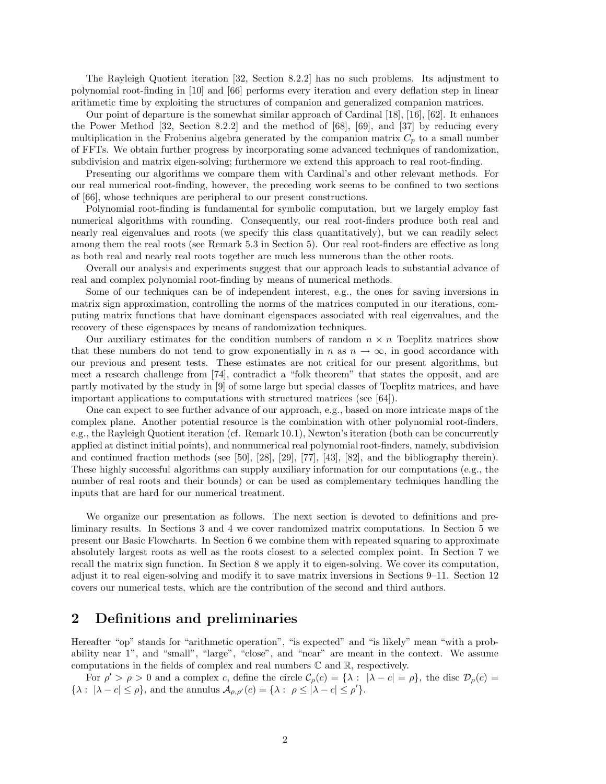The Rayleigh Quotient iteration [32, Section 8.2.2] has no such problems. Its adjustment to polynomial root-finding in [10] and [66] performs every iteration and every deflation step in linear arithmetic time by exploiting the structures of companion and generalized companion matrices.

Our point of departure is the somewhat similar approach of Cardinal [18], [16], [62]. It enhances the Power Method [32, Section 8.2.2] and the method of [68], [69], and [37] by reducing every multiplication in the Frobenius algebra generated by the companion matrix  $C_p$  to a small number of FFTs. We obtain further progress by incorporating some advanced techniques of randomization, subdivision and matrix eigen-solving; furthermore we extend this approach to real root-finding.

Presenting our algorithms we compare them with Cardinal's and other relevant methods. For our real numerical root-finding, however, the preceding work seems to be confined to two sections of [66], whose techniques are peripheral to our present constructions.

Polynomial root-finding is fundamental for symbolic computation, but we largely employ fast numerical algorithms with rounding. Consequently, our real root-finders produce both real and nearly real eigenvalues and roots (we specify this class quantitatively), but we can readily select among them the real roots (see Remark 5.3 in Section 5). Our real root-finders are effective as long as both real and nearly real roots together are much less numerous than the other roots.

Overall our analysis and experiments suggest that our approach leads to substantial advance of real and complex polynomial root-finding by means of numerical methods.

Some of our techniques can be of independent interest, e.g., the ones for saving inversions in matrix sign approximation, controlling the norms of the matrices computed in our iterations, computing matrix functions that have dominant eigenspaces associated with real eigenvalues, and the recovery of these eigenspaces by means of randomization techniques.

Our auxiliary estimates for the condition numbers of random  $n \times n$  Toeplitz matrices show that these numbers do not tend to grow exponentially in *n* as  $n \to \infty$ , in good accordance with our previous and present tests. These estimates are not critical for our present algorithms, but meet a research challenge from [74], contradict a "folk theorem" that states the opposit, and are partly motivated by the study in [9] of some large but special classes of Toeplitz matrices, and have important applications to computations with structured matrices (see [64]).

One can expect to see further advance of our approach, e.g., based on more intricate maps of the complex plane. Another potential resource is the combination with other polynomial root-finders, e.g., the Rayleigh Quotient iteration (cf. Remark 10.1), Newton's iteration (both can be concurrently applied at distinct initial points), and nonnumerical real polynomial root-finders, namely, subdivision and continued fraction methods (see [50], [28], [29], [77], [43], [82], and the bibliography therein). These highly successful algorithms can supply auxiliary information for our computations (e.g., the number of real roots and their bounds) or can be used as complementary techniques handling the inputs that are hard for our numerical treatment.

We organize our presentation as follows. The next section is devoted to definitions and preliminary results. In Sections 3 and 4 we cover randomized matrix computations. In Section 5 we present our Basic Flowcharts. In Section 6 we combine them with repeated squaring to approximate absolutely largest roots as well as the roots closest to a selected complex point. In Section 7 we recall the matrix sign function. In Section 8 we apply it to eigen-solving. We cover its computation, adjust it to real eigen-solving and modify it to save matrix inversions in Sections 9–11. Section 12 covers our numerical tests, which are the contribution of the second and third authors.

# **2 Definitions and preliminaries**

Hereafter "op" stands for "arithmetic operation", "is expected" and "is likely" mean "with a probability near 1", and "small", "large", "close", and "near" are meant in the context. We assume computations in the fields of complex and real numbers  $\mathbb C$  and  $\mathbb R$ , respectively.

For  $\rho' > \rho > 0$  and a complex *c*, define the circle  $C_{\rho}(c) = {\lambda : |\lambda - c| = \rho}$ , the disc  $\mathcal{D}_{\rho}(c) =$  $\{\lambda : |\lambda - c| \leq \rho\}$ , and the annulus  $\mathcal{A}_{\rho,\rho'}(c) = \{\lambda : \rho \leq |\lambda - c| \leq \rho'\}.$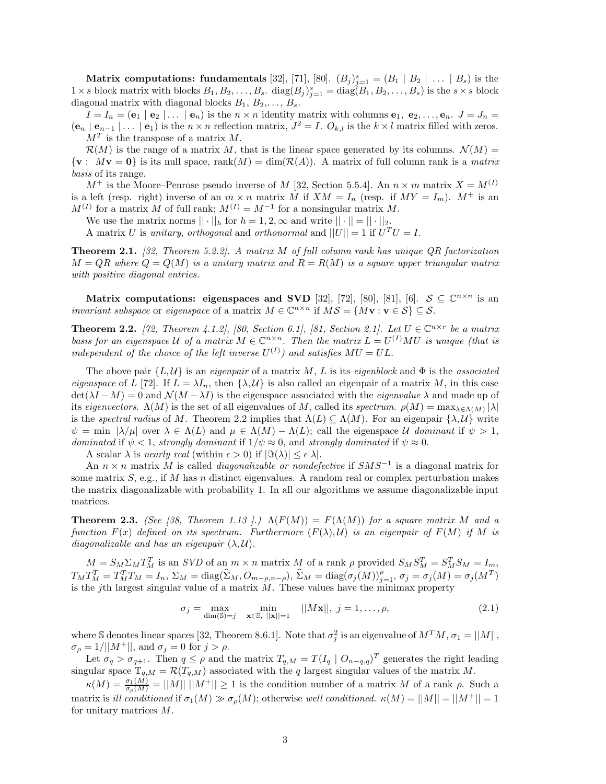**Matrix computations: fundamentals** [32], [71], [80].  $(B_j)_{j=1}^s = (B_1 \mid B_2 \mid \ldots \mid B_s)$  is the  $1 \times s$  block matrix with blocks  $B_1, B_2, \ldots, B_s$ . diag $(B_j)_{j=1}^s = \text{diag}(B_1, B_2, \ldots, B_s)$  is the  $s \times s$  block diagonal matrix with diagonal blocks  $B_1, B_2, \ldots, B_s$ .

 $I = I_n = (e_1 \mid e_2 \mid \dots \mid e_n)$  is the  $n \times n$  identity matrix with columns  $e_1, e_2, \dots, e_n$ .  $J = J_n =$  $(e_n | e_{n-1} | ... | e_1)$  is the  $n \times n$  reflection matrix,  $J^2 = I$ .  $O_{k,l}$  is the  $k \times l$  matrix filled with zeros. *M<sup>T</sup>* is the transpose of a matrix *M*.

 $\mathcal{R}(M)$  is the range of a matrix M, that is the linear space generated by its columns.  $\mathcal{N}(M)$  =  ${\bf v} : M{\bf v} = 0$  is its null space, rank $(M) = \dim(R(A))$ . A matrix of full column rank is a *matrix basis* of its range.

 $M^+$  is the Moore–Penrose pseudo inverse of *M* [32, Section 5.5.4]. An  $n \times m$  matrix  $X = M^{(I)}$ is a left (resp. right) inverse of an  $m \times n$  matrix  $\dot{M}$  if  $XM = I_n$  (resp. if  $MY = I_m$ ).  $M^+$  is an  $M^{(I)}$  for a matrix *M* of full rank;  $M^{(I)} = M^{-1}$  for a nonsingular matrix *M*.

We use the matrix norms  $|| \cdot ||_h$  for  $h = 1, 2, \infty$  and write  $|| \cdot || = || \cdot ||_2$ .

A matrix *U* is *unitary*, *orthogonal* and *orthonormal* and  $||U|| = 1$  if  $U<sup>T</sup>U = I$ .

**Theorem 2.1.** *[32, Theorem 5.2.2]. A matrix M of full column rank has unique QR factorization*  $M = QR$  where  $Q = Q(M)$  is a unitary matrix and  $R = R(M)$  is a square upper triangular matrix *with positive diagonal entries.*

**Matrix computations: eigenspaces and SVD** [32], [72], [80], [81], [6].  $S \subseteq \mathbb{C}^{n \times n}$  is an *invariant subspace* or *eigenspace* of a matrix  $M \in \mathbb{C}^{n \times n}$  if  $M\mathcal{S} = \{M\mathbf{v} : \mathbf{v} \in \mathcal{S}\} \subseteq \mathcal{S}$ .

**Theorem 2.2.** [72, Theorem 4.1.2], [80, Section 6.1], [81, Section 2.1]. Let  $U \in \mathbb{C}^{n \times r}$  be a matrix *basis for an eigenspace*  $U$  *of a matrix*  $M \in \mathbb{C}^{n \times n}$ . Then the matrix  $L = U^{(I)}MU$  *is unique (that is independent of the choice of the left inverse*  $U^{(I)}$  and satisfies  $MU = UL$ .

The above pair  $\{L, \mathcal{U}\}\$ is an *eigenpair* of a matrix *M*, *L* is its *eigenblock* and  $\Phi$  is the *associated eigenspace* of *L* [72]. If  $L = \lambda I_n$ , then  $\{\lambda, \mathcal{U}\}\$ is also called an eigenpair of a matrix *M*, in this case  $\det(\lambda I - M) = 0$  and  $\mathcal{N}(M - \lambda I)$  is the eigenspace associated with the *eigenvalue*  $\lambda$  and made up of its *eigenvectors*.  $\Lambda(M)$  is the set of all eigenvalues of M, called its *spectrum.*  $\rho(M) = \max_{\lambda \in \Lambda(M)} |\lambda|$ is the *spectral radius* of *M*. Theorem 2.2 implies that  $\Lambda(L) \subseteq \Lambda(M)$ . For an eigenpair  $\{\lambda, \mathcal{U}\}\$  write  $\psi = \min |\lambda/\mu|$  over  $\lambda \in \Lambda(L)$  and  $\mu \in \Lambda(M) - \Lambda(L)$ ; call the eigenspace U dominant if  $\psi > 1$ , *dominated* if  $\psi < 1$ , *strongly dominant* if  $1/\psi \approx 0$ , and *strongly dominated* if  $\psi \approx 0$ .

A scalar  $\lambda$  is *nearly real* (within  $\epsilon > 0$ ) if  $|\Im(\lambda)| < \epsilon |\lambda|$ .

An *n* × *n* matrix *M* is called *diagonalizable or nondefective* if *SMS*<sup>−</sup><sup>1</sup> is a diagonal matrix for some matrix *S*, e.g., if *M* has *n* distinct eigenvalues. A random real or complex perturbation makes the matrix diagonalizable with probability 1. In all our algorithms we assume diagonalizable input matrices.

**Theorem 2.3.** *(See [38, Theorem 1.13 ].)*  $\Lambda(F(M)) = F(\Lambda(M))$  *for a square matrix M and a function*  $F(x)$  *defined on its spectrum. Furthermore*  $(F(\lambda), \mathcal{U})$  *is an eigenpair of*  $F(M)$  *if*  $M$  *is diagonalizable and has an eigenpair*  $(\lambda, \mathcal{U})$ *.* 

 $M = S_M \Sigma_M T_M^T$  is an *SVD* of an  $m \times n$  matrix M of a rank  $\rho$  provided  $S_M S_M^T = S_M^T S_M = I_m$ ,  $T_M T_M^T = T_M^T T_M = I_n, \Sigma_M = \text{diag}(\widehat{\Sigma}_M, O_{m-\rho,n-\rho}), \widehat{\Sigma}_M = \text{diag}(\sigma_j(M))_{j=1}^{\rho}, \sigma_j = \sigma_j(M) = \sigma_j(M^T)$ is the *j*th largest singular value of a matrix *M*. These values have the minimax property

$$
\sigma_j = \max_{\dim(\mathbb{S}) = j} \min_{\mathbf{x} \in \mathbb{S}, \; ||\mathbf{x}|| = 1} \; ||M\mathbf{x}||, \; j = 1, \dots, \rho,
$$
\n
$$
(2.1)
$$

where S denotes linear spaces [32, Theorem 8.6.1]. Note that  $\sigma_j^2$  is an eigenvalue of  $M^T M$ ,  $\sigma_1 = ||M||$ , *σ*<sub>*ρ*</sub> = 1/||*M*<sup>+</sup>||, and *σ*<sub>*j*</sub> = 0 for *j > ρ*.

Let  $\sigma_q > \sigma_{q+1}$ . Then  $q \leq \rho$  and the matrix  $T_{q,M} = T(I_q \mid O_{n-q,q})^T$  generates the right leading singular space  $T_{q,M} = \mathcal{R}(T_{q,M})$  associated with the *q* largest singular values of the matrix *M*.

 $\kappa(M) = \frac{\sigma_1(M)}{\sigma_\rho(M)} = ||M|| \, ||M^+|| \geq 1$  is the condition number of a matrix *M* of a rank *ρ*. Such a matrix is *ill conditioned* if  $\sigma_1(M) \gg \sigma_\rho(M)$ ; otherwise *well conditioned.*  $\kappa(M) = ||M|| = ||M^+|| = 1$ for unitary matrices *M*.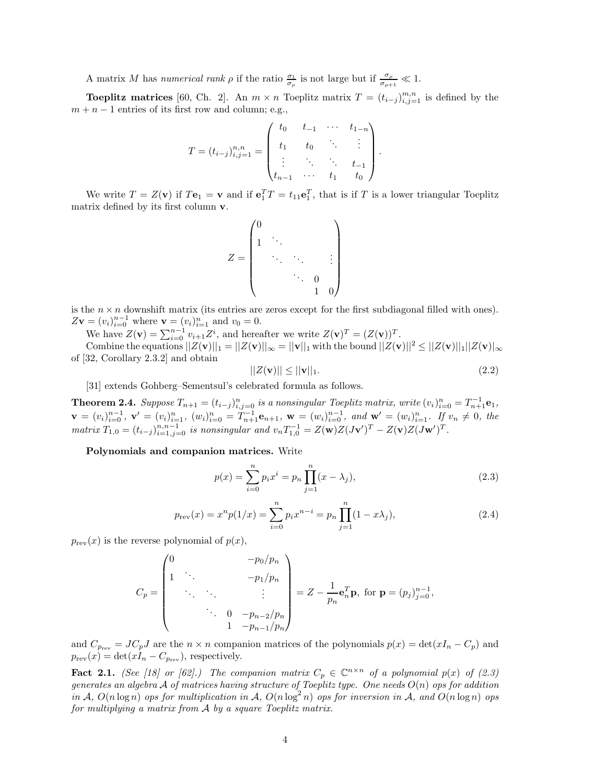A matrix *M* has *numerical rank*  $\rho$  if the ratio  $\frac{\sigma_1}{\sigma_\rho}$  is not large but if  $\frac{\sigma_\rho}{\sigma_{\rho+1}} \ll 1$ .

**Toeplitz matrices** [60, Ch. 2]. An  $m \times n$  Toeplitz matrix  $T = (t_{i-j})_{i,j=1}^{m,n}$  is defined by the  $m + n - 1$  entries of its first row and column; e.g.,

$$
T = (t_{i-j})_{i,j=1}^{n,n} = \begin{pmatrix} t_0 & t_{-1} & \cdots & t_{1-n} \\ t_1 & t_0 & \ddots & \vdots \\ \vdots & \ddots & \ddots & t_{-1} \\ t_{n-1} & \cdots & t_1 & t_0 \end{pmatrix}.
$$

We write  $T = Z(\mathbf{v})$  if  $T\mathbf{e}_1 = \mathbf{v}$  and if  $\mathbf{e}_1^T T = t_{11}\mathbf{e}_1^T$ , that is if T is a lower triangular Toeplitz matrix defined by its first column **v**.

$$
Z = \begin{pmatrix} 0 & & & & \\ 1 & \ddots & & & \\ & \ddots & \ddots & & \vdots \\ & & \ddots & 0 & \\ & & & 1 & 0 \end{pmatrix}
$$

is the  $n \times n$  downshift matrix (its entries are zeros except for the first subdiagonal filled with ones).  $Z$ **v** =  $(v_i)_{i=0}^{n-1}$  where **v** =  $(v_i)_{i=1}^n$  and  $v_0 = 0$ .

We have  $Z(\mathbf{v}) = \sum_{i=0}^{n-1} v_{i+1} Z^i$ , and hereafter we write  $Z(\mathbf{v})^T = (Z(\mathbf{v}))^T$ .

 $\text{Combine the equations } ||Z(\mathbf{v})||_1 = ||Z(\mathbf{v})||_{\infty} = ||\mathbf{v}||_1 \text{ with the bound } ||Z(\mathbf{v})||^2 \leq ||Z(\mathbf{v})||_1 ||Z(\mathbf{v})|_{\infty}$ of [32, Corollary 2.3.2] and obtain

 $||Z(\mathbf{v})|| \le ||\mathbf{v}||_1.$  (2.2)

[31] extends Gohberg–Sementsul's celebrated formula as follows.

**Theorem 2.4.** Suppose  $T_{n+1} = (t_{i-j})_{i,j=0}^n$  is a nonsingular Toeplitz matrix, write  $(v_i)_{i=0}^n = T_{n+1}^{-1}$ **e**<sub>1</sub>,  $\mathbf{v} = (v_i)_{i=0}^{n-1}, \mathbf{v}' = (v_i)_{i=1}^n, (w_i)_{i=0}^n = T_{n+1}^{-1} \mathbf{e}_{n+1}, \mathbf{w} = (w_i)_{i=0}^{n-1}, \text{ and } \mathbf{w}' = (w_i)_{i=1}^n$ . If  $v_n \neq 0$ , the matrix  $T_{1,0} = (t_{i-j})_{i=1,j=0}^{n,n-1}$  is nonsingular and  $v_n T_{1,0}^{-1} = Z(\mathbf{w})Z(J\mathbf{v}')^T - Z(\mathbf{v})Z(J\mathbf{w}')^T$ .

**Polynomials and companion matrices.** Write

$$
p(x) = \sum_{i=0}^{n} p_i x^i = p_n \prod_{j=1}^{n} (x - \lambda_j),
$$
\n(2.3)

$$
p_{rev}(x) = x^n p(1/x) = \sum_{i=0}^n p_i x^{n-i} = p_n \prod_{j=1}^n (1 - x\lambda_j),
$$
\n(2.4)

 $p_{rev}(x)$  is the reverse polynomial of  $p(x)$ ,

$$
C_p = \begin{pmatrix} 0 & & & & -p_0/p_n \\ 1 & \ddots & & & & \\ & \ddots & \ddots & & & \\ & & \ddots & & & \\ & & & 0 & -p_{n-2}/p_n \\ & & & & 1 & -p_{n-1}/p_n \end{pmatrix} = Z - \frac{1}{p_n} \mathbf{e}_n^T \mathbf{p}, \text{ for } \mathbf{p} = (p_j)_{j=0}^{n-1},
$$

and  $C_{p_{\text{rev}}} = JC_pJ$  are the  $n \times n$  companion matrices of the polynomials  $p(x) = \det(xI_n - C_p)$  and  $p_{rev}(x) = \det(xI_n - C_{p_{rev}})$ , respectively.

**Fact 2.1.** *(See [18] or [62].) The companion matrix*  $C_p \in \mathbb{C}^{n \times n}$  *of a polynomial p(x) of (2.3) generates an algebra* A *of matrices having structure of Toeplitz type. One needs O*(*n*) *ops for addition in*  $\mathcal{A}, O(n \log n)$  *ops for multiplication in*  $\mathcal{A}, O(n \log^2 n)$  *ops for inversion in*  $\mathcal{A}, and O(n \log n)$  *ops for multiplying a matrix from* A *by a square Toeplitz matrix.*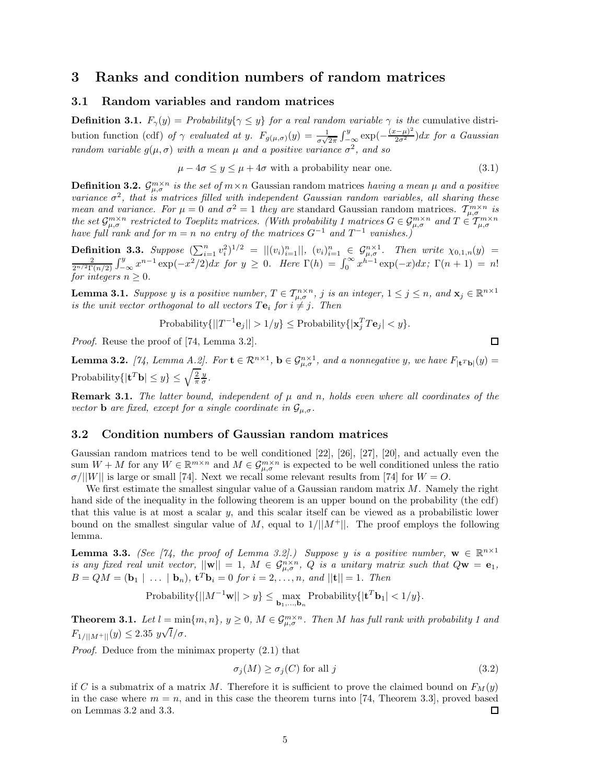## **3 Ranks and condition numbers of random matrices**

#### **3.1 Random variables and random matrices**

**Definition 3.1.**  $F_{\gamma}(y) = Probability\{\gamma \leq y\}$  *for a real random variable*  $\gamma$  *is the* cumulative distribution function (cdf) *of*  $\gamma$  *evaluated at y*.  $F_{g(\mu,\sigma)}(y) = \frac{1}{\sigma\sqrt{2\pi}} \int_{-\infty}^{y} \exp(-\frac{(x-\mu)^2}{2\sigma^2}) dx$  for a Gaussian *random variable*  $g(\mu, \sigma)$  *with a mean*  $\mu$  *and a positive variance*  $\sigma^2$ *, and so* 

$$
\mu - 4\sigma \le y \le \mu + 4\sigma \text{ with a probability near one.} \tag{3.1}
$$

**Definition 3.2.**  $\mathcal{G}_{\mu,\sigma}^{m\times n}$  *is the set of*  $m\times n$  Gaussian random matrices *having a mean*  $\mu$  *and a positive variance*  $\sigma^2$ , that is matrices filled with independent Gaussian random variables, all sharing these *mean and variance. For*  $\mu = 0$  *and*  $\sigma^2 = 1$  *they are* standard Gaussian random matrices.  $T_{\mu,\sigma}^{m \times n}$  *is the set*  $\mathcal{G}_{\mu,\sigma}^{m\times n}$  *restricted to Toeplitz matrices.* (With probability 1 matrices  $G \in \mathcal{G}_{\mu,\sigma}^{m\times n}$  and  $T \in \mathcal{T}_{\mu,\sigma}^{m\times n}$ *have full rank and for*  $m = n$  *no entry of the matrices*  $G^{-1}$  *and*  $T^{-1}$  *vanishes.*)

**Definition 3.3.** Suppose  $(\sum_{i=1}^{n} v_i^2)^{1/2} = ||(v_i)_{i=1}^n||$ ,  $(v_i)_{i=1}^n \in G_{\mu,\sigma}^{n \times 1}$ . Then write  $\chi_{0,1,n}(y) = \frac{2}{2^{n/2}\Gamma(n/2)} \int_{-\infty}^{y} x^{n-1} \exp(-x^2/2) dx$  for  $y \ge 0$ . Here  $\Gamma(h) = \int_{0}^{\infty} x^{h-1} \exp(-x) dx$ ;  $\Gamma(n+1) = n!$ *for integers*  $n \geq 0$ *.* 

**Lemma 3.1.** *Suppose y is a positive number,*  $T \in \mathcal{T}_{\mu,\sigma}^{n \times n}$ , *j is an integer*,  $1 \leq j \leq n$ , and  $\mathbf{x}_j \in \mathbb{R}^{n \times 1}$ *is the unit vector orthogonal to all vectors*  $Te_i$  *for*  $i \neq j$ *. Then* 

$$
Probability \{ ||T^{-1} \mathbf{e}_j|| > 1/y \} \leq Probability \{ |\mathbf{x}_j^T T \mathbf{e}_j| < y \}.
$$

*Proof.* Reuse the proof of [74, Lemma 3.2].

**Lemma 3.2.** [74, Lemma A.2]. For  $\mathbf{t} \in \mathbb{R}^{n \times 1}$ ,  $\mathbf{b} \in \mathcal{G}_{\mu,\sigma}^{n \times 1}$ , and a nonnegative y, we have  $F_{|\mathbf{t}^T\mathbf{b}|}(y) =$ Probability $\{|\mathbf{t}^T \mathbf{b}| \leq y\} \leq \sqrt{\frac{2}{\pi}} \frac{y}{\sigma}.$ 

**Remark 3.1.** *The latter bound, independent of*  $\mu$  *and*  $n$ *, holds even where all coordinates of the vector* **b** *are fixed, except for a single coordinate in*  $\mathcal{G}_{\mu,\sigma}$ *.* 

### **3.2 Condition numbers of Gaussian random matrices**

Gaussian random matrices tend to be well conditioned [22], [26], [27], [20], and actually even the sum  $W + M$  for any  $W \in \mathbb{R}^{m \times n}$  and  $M \in \mathcal{G}_{\mu,\sigma}^{m \times n}$  is expected to be well conditioned unless the ratio  $\sigma/||W||$  is large or small [74]. Next we recall some relevant results from [74] for  $W = O$ .

We first estimate the smallest singular value of a Gaussian random matrix *M*. Namely the right hand side of the inequality in the following theorem is an upper bound on the probability (the cdf) that this value is at most a scalar *y*, and this scalar itself can be viewed as a probabilistic lower bound on the smallest singular value of *M*, equal to  $1/||M^+||$ . The proof employs the following lemma.

**Lemma 3.3.** *(See [74, the proof of Lemma 3.2].) Suppose y is a positive number,*  $\mathbf{w} \in \mathbb{R}^{n \times 1}$ *is any fixed real unit vector,*  $||\mathbf{w}|| = 1$ ,  $M \in \mathcal{G}_{\mu,\sigma}^{n \times n}$ ,  $Q$  *is a unitary matrix such that*  $Q\mathbf{w} = \mathbf{e}_1$ ,  $B = QM = (\mathbf{b}_1 \mid \dots \mid \mathbf{b}_n)$ ,  $\mathbf{t}^T \mathbf{b}_i = 0$  for  $i = 2, \dots, n$ , and  $||\mathbf{t}|| = 1$ . Then

Probability
$$
\{||M^{-1}\mathbf{w}|| > y\} \le \max_{\mathbf{b}_1,\dots,\mathbf{b}_n}
$$
Probability $\{|\mathbf{t}^T\mathbf{b}_1| < 1/y\}$ .

**Theorem 3.1.** *Let*  $l = \min\{m, n\}$ *,*  $y \geq 0$ *,*  $M \in \mathcal{G}_{\mu,\sigma}^{m \times n}$ *. Then*  $M$  *has full rank with probability 1 and*  $F_{1/||M^+||}(y) \leq 2.35 \ y$ √ *l/σ.*

*Proof.* Deduce from the minimax property (2.1) that

$$
\sigma_j(M) \ge \sigma_j(C) \text{ for all } j \tag{3.2}
$$

if *C* is a submatrix of a matrix *M*. Therefore it is sufficient to prove the claimed bound on  $F_M(y)$ in the case where  $m = n$ , and in this case the theorem turns into [74, Theorem 3.3], proved based on Lemmas 3.2 and 3.3. □

$$
\Box
$$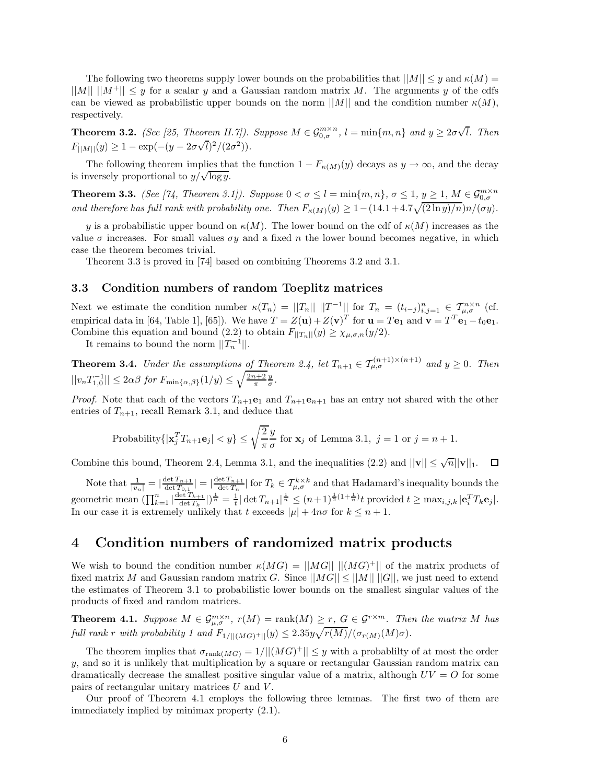The following two theorems supply lower bounds on the probabilities that  $||M|| \leq y$  and  $\kappa(M) =$ ||M||  $||M^+|| \leq y$  for a scalar y and a Gaussian random matrix M. The arguments y of the cdfs can be viewed as probabilistic upper bounds on the norm  $||M||$  and the condition number  $\kappa(M)$ , respectively.

**Theorem 3.2.** *(See [25, Theorem II.7]). Suppose*  $M \in \mathcal{G}_{0,\sigma}^{m \times n}$ ,  $l = \min\{m, n\}$  and  $y \geq 2\sigma\sqrt{l}$ . Then  $F_{\vert M \vert}(y) \geq 1 - \exp(-(y - 2\sigma\sqrt{l})^2/(2\sigma^2)).$ 

The following theorem implies that the function  $1 - F_{\kappa(M)}(y)$  decays as  $y \to \infty$ , and the decay is inversely proportional to  $y/\sqrt{\log y}$ .

**Theorem 3.3.** *(See [74, Theorem 3.1]). Suppose*  $0 < \sigma \le l = \min\{m, n\}$ ,  $\sigma \le 1$ ,  $y \ge 1$ ,  $M \in \mathcal{G}_{0,\sigma}^{m \times n}$ *and therefore has full rank with probability one. Then*  $F_{\kappa(M)}(y) \geq 1 - (14.1 + 4.7\sqrt{(2 \ln y)/n})n/(\sigma y)$ .

*y* is a probabilistic upper bound on  $\kappa(M)$ . The lower bound on the cdf of  $\kappa(M)$  increases as the value  $\sigma$  increases. For small values  $\sigma y$  and a fixed *n* the lower bound becomes negative, in which case the theorem becomes trivial.

Theorem 3.3 is proved in [74] based on combining Theorems 3.2 and 3.1.

### **3.3 Condition numbers of random Toeplitz matrices**

Next we estimate the condition number  $\kappa(T_n) = ||T_n|| ||T^{-1}||$  for  $T_n = (t_{i-j})_{i,j=1}^n \in \mathcal{T}_{\mu,\sigma}^{n\times n}$  (cf. empirical data in [64, Table 1], [65]). We have  $T = Z(\mathbf{u}) + Z(\mathbf{v})^T$  for  $\mathbf{u} = T\mathbf{e}_1$  and  $\mathbf{v} = T^T\mathbf{e}_1 - t_0\mathbf{e}_1$ . Combine this equation and bound (2.2) to obtain  $F_{||T_n||}(y) \geq \chi_{\mu,\sigma,n}(y/2)$ .

It remains to bound the norm  $||T_n^{-1}||$ .

**Theorem 3.4.** *Under the assumptions of Theorem 2.4, let*  $T_{n+1} \in T_{\mu,\sigma}^{(n+1)\times(n+1)}$  and  $y \ge 0$ . Then  $||v_n T_{1,0}^{-1}|| \leq 2\alpha\beta \text{ for } F_{\min\{\alpha,\beta\}}(1/y) \leq \sqrt{\frac{2n+2}{\pi}}\frac{y}{\sigma}.$ 

*Proof.* Note that each of the vectors  $T_{n+1}e_1$  and  $T_{n+1}e_{n+1}$  has an entry not shared with the other entries of  $T_{n+1}$ , recall Remark 3.1, and deduce that

Probability
$$
\{|\mathbf{x}_j^T T_{n+1} \mathbf{e}_j| < y\} \le \sqrt{\frac{2}{\pi}} \frac{y}{\sigma}
$$
 for  $\mathbf{x}_j$  of Lemma 3.1,  $j = 1$  or  $j = n + 1$ .

Combine this bound, Theorem 2.4, Lemma 3.1, and the inequalities (2.2) and  $||\mathbf{v}|| \leq \sqrt{n}||\mathbf{v}||_1$ .  $\Box$ 

Note that  $\frac{1}{|v_n|} = \left| \frac{\det T_{n+1}}{\det T_{0,1}} \right| = \left| \frac{\det T_{n+1}}{\det T_n} \right|$  for  $T_k \in \mathcal{T}_{\mu,\sigma}^{k \times k}$  and that Hadamard's inequality bounds the geometric mean  $(\prod_{k=1}^n |\frac{\det T_{k+1}}{\det T_k})^{\frac{1}{n}} = \frac{1}{t} |\det T_{n+1}|^{\frac{1}{n}} \le (n+1)^{\frac{1}{2}(1+\frac{1}{n})} t$  provided  $t \ge \max_{i,j,k} |\mathbf{e}_i^T T_k \mathbf{e}_j|.$ In our case it is extremely unlikely that *t* exceeds  $|\mu| + 4n\sigma$  for  $k \leq n + 1$ .

## **4 Condition numbers of randomized matrix products**

We wish to bound the condition number  $\kappa(MG) = ||MG|| \, ||(MG)^+||$  of the matrix products of fixed matrix *M* and Gaussian random matrix *G*. Since  $||MG|| \le ||M|| ||G||$ , we just need to extend the estimates of Theorem 3.1 to probabilistic lower bounds on the smallest singular values of the products of fixed and random matrices.

**Theorem 4.1.** Suppose  $M \in \mathcal{G}_{\mu,\sigma}^{m \times n}$ ,  $r(M) = \text{rank}(M) \geq r$ ,  $G \in \mathcal{G}^{r \times m}$ . Then the matrix M has *full rank r with probability* 1 and  $F_{1/}||(MG) + ||(y)| \leq 2.35y\sqrt{r(M)} / (\sigma_{r(M)}(M)\sigma)$ .

The theorem implies that  $\sigma_{rank(MG)} = 1/||(MG)^+|| \leq y$  with a probablilty of at most the order *y*, and so it is unlikely that multiplication by a square or rectangular Gaussian random matrix can dramatically decrease the smallest positive singular value of a matrix, although  $UV = O$  for some pairs of rectangular unitary matrices *U* and *V* .

Our proof of Theorem 4.1 employs the following three lemmas. The first two of them are immediately implied by minimax property (2.1).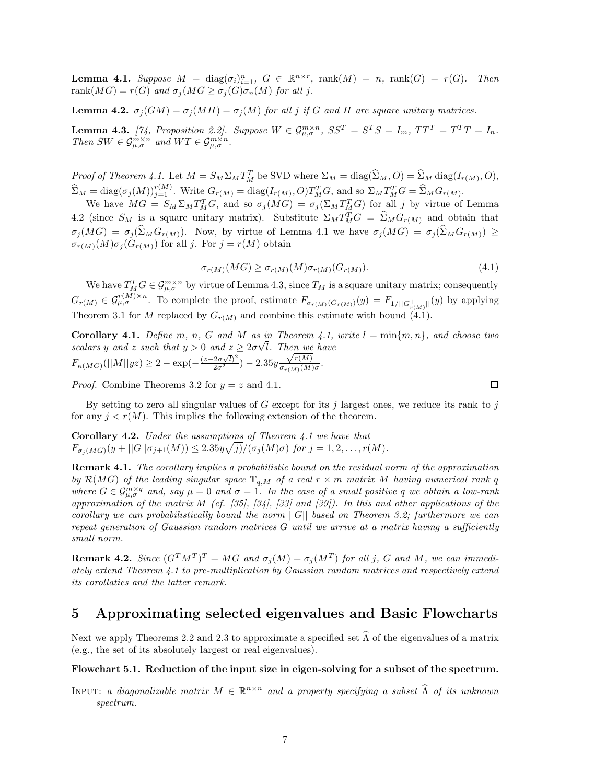**Lemma 4.1.** *Suppose*  $M = \text{diag}(\sigma_i)_{i=1}^n$ ,  $G \in \mathbb{R}^{n \times r}$ ,  $\text{rank}(M) = n$ ,  $\text{rank}(G) = r(G)$ *. Then*  $r\text{rank}(MG) = r(G)$  *and*  $\sigma_j(MG \geq \sigma_j(G)\sigma_n(M)$  *for all j.* 

**Lemma 4.2.**  $\sigma_j(GM) = \sigma_j(MH) = \sigma_j(M)$  for all *j* if *G* and *H* are square unitary matrices.

**Lemma 4.3.** [74, Proposition 2.2]. Suppose  $W \in \mathcal{G}_{\mu,\sigma}^{m \times n}$ ,  $SS^T = S^T S = I_m$ ,  $TT^T = T^T T = I_n$ . *Then*  $SW \in \mathcal{G}_{\mu,\sigma}^{m \times n}$  *and*  $WT \in \mathcal{G}_{\mu,\sigma}^{m \times n}$ *.* 

*Proof of Theorem 4.1.* Let  $M = S_M \Sigma_M T_M^T$  be SVD where  $\Sigma_M = \text{diag}(\widehat{\Sigma}_M, O) = \widehat{\Sigma}_M \text{diag}(I_{r(M)}, O)$ ,  $\widehat{\Sigma}_M = \text{diag}(\sigma_j(M))_{j=1}^{r(M)}$ . Write  $G_{r(M)} = \text{diag}(I_{r(M)}, O)T_M^T G$ , and so  $\Sigma_M T_M^T G = \widehat{\Sigma}_M G_{r(M)}$ .

We have  $MG = S_M \Sigma_M T_M^T G$ , and so  $\sigma_j(MG) = \sigma_j(\Sigma_M T_M^T G)$  for all *j* by virtue of Lemma 4.2 (since  $S_M$  is a square unitary matrix). Substitute  $\Sigma_M T_M^T G = \widehat{\Sigma}_M G_{r(M)}$  and obtain that  $\sigma_j(MG) = \sigma_j(\hat{\Sigma}_M G_{r(M)})$ . Now, by virtue of Lemma 4.1 we have  $\sigma_j(MG) = \sigma_j(\hat{\Sigma}_M G_{r(M)}) \ge$  $\sigma_{r(M)}(M)\sigma_j(G_{r(M)})$  for all *j*. For  $j = r(M)$  obtain

$$
\sigma_{r(M)}(MG) \ge \sigma_{r(M)}(M)\sigma_{r(M)}(G_{r(M)}).
$$
\n(4.1)

We have  $T_M^T G \in \mathcal{G}_{\mu,\sigma}^{m \times n}$  by virtue of Lemma 4.3, since  $T_M$  is a square unitary matrix; consequently  $G_r(M) \in \mathcal{G}_{\mu,\sigma}^{r(M)\times n}$ . To complete the proof, estimate  $F_{\sigma_{r(M)}(G_{r(M)})}(y) = F_{1/||G_{r(M)}^+||}(y)$  by applying Theorem 3.1 for *M* replaced by  $G_{r(M)}$  and combine this estimate with bound (4.1).

**Corollary 4.1.** Define  $m$ ,  $n$ ,  $G$  and  $M$  as in Theorem 4.1, write  $l = \min\{m, n\}$ , and choose two *scalars y* and *z such that*  $y > 0$  *and*  $z \geq 2\sigma\sqrt{l}$ *. Then we have*  $F_{\kappa(MG)}(||M||yz) \geq 2 - \exp(-\frac{(z-2\sigma\sqrt{l})^2}{2\sigma^2}) - 2.35y$ <sup>√</sup>*r*(*M*)  $\frac{\sqrt{V'(M)}}{\sigma_{r(M)}(M)\sigma}$ .

*Proof.* Combine Theorems 3.2 for *y* = *z* and 4.1.

By setting to zero all singular values of *G* except for its *j* largest ones, we reduce its rank to *j* for any  $j < r(M)$ . This implies the following extension of the theorem.

**Corollary 4.2.** *Under the assumptions of Theorem 4.1 we have that*  $F_{\sigma_j(MG)}(y+||G||\sigma_{j+1}(M)) \leq 2.35y\sqrt{j}/(\sigma_j(M)\sigma)$  *for*  $j = 1, 2, ..., r(M)$ .

**Remark 4.1.** *The corollary implies a probabilistic bound on the residual norm of the approximation by*  $\mathcal{R}(MG)$  *of the leading singular space*  $\mathbb{T}_{q,M}$  *of a real*  $r \times m$  *matrix M having numerical rank q where*  $G \in \mathcal{G}_{\mu,\sigma}^{m\times q}$  *and, say*  $\mu = 0$  *and*  $\sigma = 1$ *. In the case of a small positive q we obtain a low-rank approximation of the matrix M (cf. [35], [34], [33] and [39]). In this and other applications of the corollary we can probabilistically bound the norm* ||*G*|| *based on Theorem 3.2; furthermore we can repeat generation of Gaussian random matrices G until we arrive at a matrix having a sufficiently small norm.*

**Remark 4.2.** Since  $(G^T M^T)^T = MG$  and  $\sigma_i(M) = \sigma_i(M^T)$  for all j, G and M, we can immedi*ately extend Theorem 4.1 to pre-multiplication by Gaussian random matrices and respectively extend its corollaties and the latter remark.*

## **5 Approximating selected eigenvalues and Basic Flowcharts**

Next we apply Theorems 2.2 and 2.3 to approximate a specified set  $\widehat{\Lambda}$  of the eigenvalues of a matrix (e.g., the set of its absolutely largest or real eigenvalues).

#### **Flowchart 5.1. Reduction of the input size in eigen-solving for a subset of the spectrum.**

INPUT: *a diagonalizable matrix*  $M \in \mathbb{R}^{n \times n}$  *and a property specifying a subset*  $\widehat{\Lambda}$  *of its unknown spectrum.*

口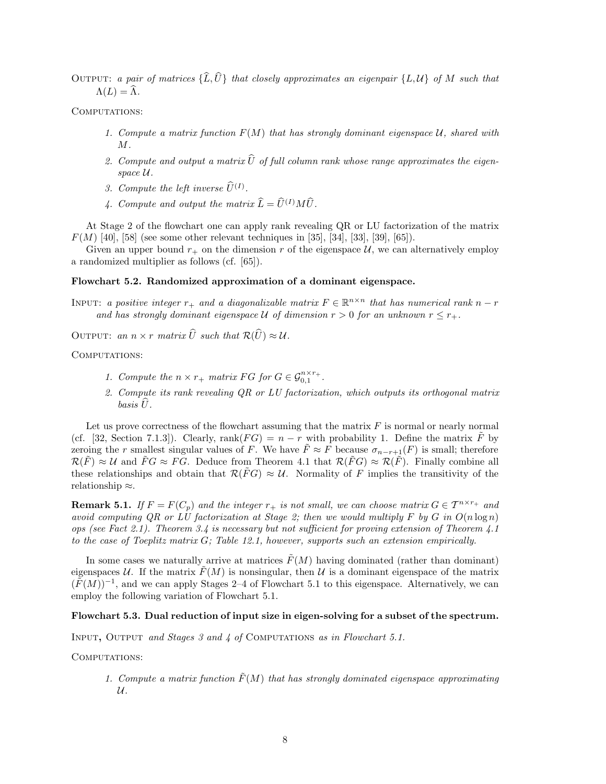OUTPUT: a pair of matrices  $\{\widehat{L}, \widehat{U}\}\)$  that closely approximates an eigenpair  $\{L, \mathcal{U}\}\$  of M such that  $\Lambda(L) = \widehat{\Lambda}$ .

COMPUTATIONS:

- *1. Compute a matrix function F*(*M*) *that has strongly dominant eigenspace* U*, shared with M.*
- 2. Compute and output a matrix  $\widehat{U}$  of full column rank whose range approximates the eigen*space* U*.*
- *3. Compute the left inverse*  $\widehat{U}^{(I)}$ *.*
- 4. Compute and output the matrix  $\hat{L} = \hat{U}^{(I)}M\hat{U}$ .

At Stage 2 of the flowchart one can apply rank revealing QR or LU factorization of the matrix *F*(*M*) [40], [58] (see some other relevant techniques in [35], [34], [33], [39], [65]).

Given an upper bound  $r_+$  on the dimension  $r$  of the eigenspace  $\mathcal{U}$ , we can alternatively employ a randomized multiplier as follows (cf. [65]).

#### **Flowchart 5.2. Randomized approximation of a dominant eigenspace.**

INPUT: *a positive integer*  $r_+$  *and a diagonalizable matrix*  $F \in \mathbb{R}^{n \times n}$  *that has numerical rank*  $n - r$ *and has strongly dominant eigenspace*  $U$  *of dimension*  $r > 0$  *for an unknown*  $r \leq r_+$ *.* 

OUTPUT: an  $n \times r$  matrix  $\widehat{U}$  such that  $\mathcal{R}(\widehat{U}) \approx \mathcal{U}$ .

COMPUTATIONS:

- *1. Compute the*  $n \times r_+$  *matrix*  $FG$  *for*  $G \in \mathcal{G}_{0,1}^{n \times r_+}$ *.*
- *2. Compute its rank revealing QR or LU factorization, which outputs its orthogonal matrix*  $basis \hat{U}$ .

Let us prove correctness of the flowchart assuming that the matrix *F* is normal or nearly normal (cf. [32, Section 7.1.3]). Clearly,  $rank(FG) = n - r$  with probability 1. Define the matrix  $\tilde{F}$  by zeroing the *r* smallest singular values of *F*. We have  $\tilde{F} \approx F$  because  $\sigma_{n-r+1}(F)$  is small; therefore  $\mathcal{R}(\tilde{F}) \approx \mathcal{U}$  and  $\tilde{F}G \approx FG$ . Deduce from Theorem 4.1 that  $\mathcal{R}(\tilde{F}G) \approx \mathcal{R}(\tilde{F})$ . Finally combine all these relationships and obtain that  $\mathcal{R}(FG) \approx \mathcal{U}$ . Normality of *F* implies the transitivity of the relationship ≈.

**Remark 5.1.** *If*  $F = F(C_p)$  *and the integer*  $r_+$  *is not small, we can choose matrix*  $G \in T^{n \times r_+}$  *and avoid computing QR or LU factorization at Stage 2; then we would multiply*  $F$  *by*  $G$  *in*  $O(n \log n)$ *ops (see Fact 2.1). Theorem 3.4 is necessary but not sufficient for proving extension of Theorem 4.1 to the case of Toeplitz matrix G; Table 12.1, however, supports such an extension empirically.*

In some cases we naturally arrive at matrices  $\tilde{F}(M)$  having dominated (rather than dominant) eigenspaces U. If the matrix  $\hat{F}(M)$  is nonsingular, then U is a dominant eigenspace of the matrix  $(F(M))^{-1}$ , and we can apply Stages 2–4 of Flowchart 5.1 to this eigenspace. Alternatively, we can employ the following variation of Flowchart 5.1.

#### **Flowchart 5.3. Dual reduction of input size in eigen-solving for a subset of the spectrum.**

Input**,** Output *and Stages 3 and 4 of* Computations *as in Flowchart 5.1.*

COMPUTATIONS:

1. Compute a matrix function  $\tilde{F}(M)$  that has strongly dominated eigenspace approximating U*.*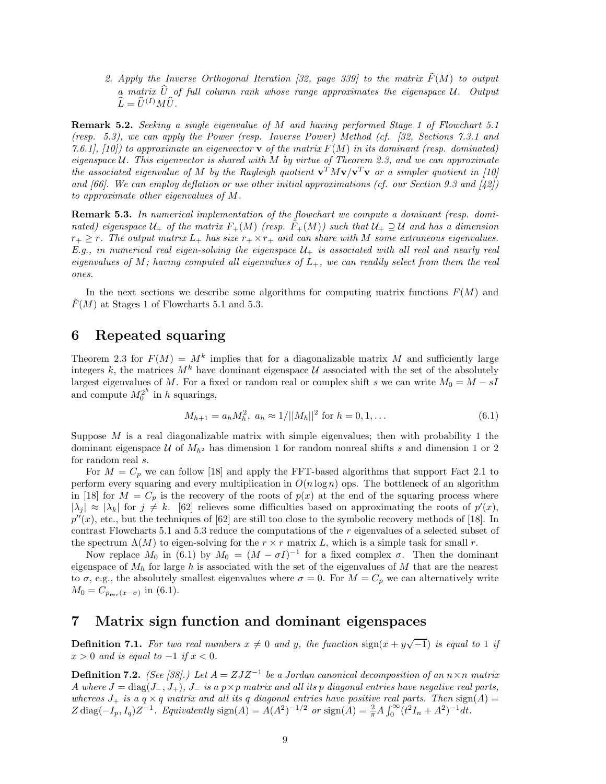*2. Apply the Inverse Orthogonal Iteration [32, page 339] to the matrix F*˜(*M*) *to output a matrix*  $\widehat{U}$  *of full column rank whose range approximates the eigenspace*  $U$ *. Output*  $\hat{L} = \hat{U}^{(I)} M \hat{U}$ .

**Remark 5.2.** *Seeking a single eigenvalue of M and having performed Stage 1 of Flowchart 5.1 (resp. 5.3), we can apply the Power (resp. Inverse Power) Method (cf. [32, Sections 7.3.1 and 7.6.1], [10]) to approximate an eigenvector* **v** *of the matrix F*(*M*) *in its dominant (resp. dominated) eigenspace* U*. This eigenvector is shared with M by virtue of Theorem 2.3, and we can approximate the associated eigenvalue of M by the Rayleigh quotient*  $\mathbf{v}^T \mathbf{M} \mathbf{v} / \mathbf{v}^T \mathbf{v}$  *or a simpler quotient in* [10] *and [66]. We can employ deflation or use other initial approximations (cf. our Section 9.3 and [42]) to approximate other eigenvalues of M.*

**Remark 5.3.** *In numerical implementation of the flowchart we compute a dominant (resp. dominated)* eigenspace  $U_+$  of the matrix  $F_+(M)$  (resp.  $\overline{F}_+(M)$ ) such that  $U_+ \supseteq U$  and has a dimension  $r_+ \geq r$ *. The output matrix*  $L_+$  *has size*  $r_+ \times r_+$  *and can share with M some extraneous eigenvalues.*  $E.g.,$  in numerical real eigen-solving the eigenspace  $\mathcal{U}_+$  is associated with all real and nearly real *eigenvalues of*  $M$ *; having computed all eigenvalues of*  $L_{+}$ *, we can readily select from them the real ones.*

In the next sections we describe some algorithms for computing matrix functions *F*(*M*) and  $F(M)$  at Stages 1 of Flowcharts 5.1 and 5.3.

## **6 Repeated squaring**

Theorem 2.3 for  $F(M) = M^k$  implies that for a diagonalizable matrix M and sufficiently large integers k, the matrices  $M^k$  have dominant eigenspace  $\mathcal U$  associated with the set of the absolutely largest eigenvalues of *M*. For a fixed or random real or complex shift *s* we can write  $M_0 = M - sI$ and compute  $M_0^{2^h}$  in *h* squarings,

$$
M_{h+1} = a_h M_h^2, \ a_h \approx 1/||M_h||^2 \text{ for } h = 0, 1, ... \tag{6.1}
$$

Suppose  $M$  is a real diagonalizable matrix with simple eigenvalues; then with probability 1 the dominant eigenspace U of  $M_{h^2}$  has dimension 1 for random nonreal shifts *s* and dimension 1 or 2 for random real *s*.

For  $M = C_p$  we can follow [18] and apply the FFT-based algorithms that support Fact 2.1 to perform every squaring and every multiplication in  $O(n \log n)$  ops. The bottleneck of an algorithm in [18] for  $M = C_p$  is the recovery of the roots of  $p(x)$  at the end of the squaring process where  $|\lambda_j| \approx |\lambda_k|$  for  $j \neq k$ . [62] relieves some difficulties based on approximating the roots of  $p'(x)$ ,  $p''(x)$ , etc., but the techniques of  $|62|$  are still too close to the symbolic recovery methods of [18]. In contrast Flowcharts 5.1 and 5.3 reduce the computations of the *r* eigenvalues of a selected subset of the spectrum  $\Lambda(M)$  to eigen-solving for the  $r \times r$  matrix L, which is a simple task for small r.

Now replace  $M_0$  in (6.1) by  $M_0 = (M - \sigma I)^{-1}$  for a fixed complex  $\sigma$ . Then the dominant eigenspace of *M<sup>h</sup>* for large *h* is associated with the set of the eigenvalues of *M* that are the nearest to  $\sigma$ , e.g., the absolutely smallest eigenvalues where  $\sigma = 0$ . For  $M = C_p$  we can alternatively write  $M_0 = C_{p_{rev}(x-\sigma)}$  in (6.1).

## **7 Matrix sign function and dominant eigenspaces**

**Definition 7.1.** For two real numbers  $x \neq 0$  and  $y$ , the function  $\text{sign}(x + y\sqrt{-1})$  is equal to 1 if  $x > 0$  *and is equal to* −1 *if*  $x < 0$ *.* 

**Definition 7.2.** *(See [38].) Let*  $A = ZJZ^{-1}$  *be a Jordan canonical decomposition of an*  $n \times n$  *matrix A* where  $J = \text{diag}(J_-, J_+), J_-$  *is a*  $p \times p$  *matrix and all its p diagonal entries have negative real parts, whereas*  $J_+$  *is a*  $q \times q$  *matrix and all its q diagonal entries have positive real parts. Then*  $sign(A)$  = Z diag $(-I_p, I_q)Z^{-1}$ . Equivalently sign(A) =  $A(A^2)^{-1/2}$  or sign(A) =  $\frac{2}{\pi}A\int_0^{\infty} (t^2I_n + A^2)^{-1}dt$ .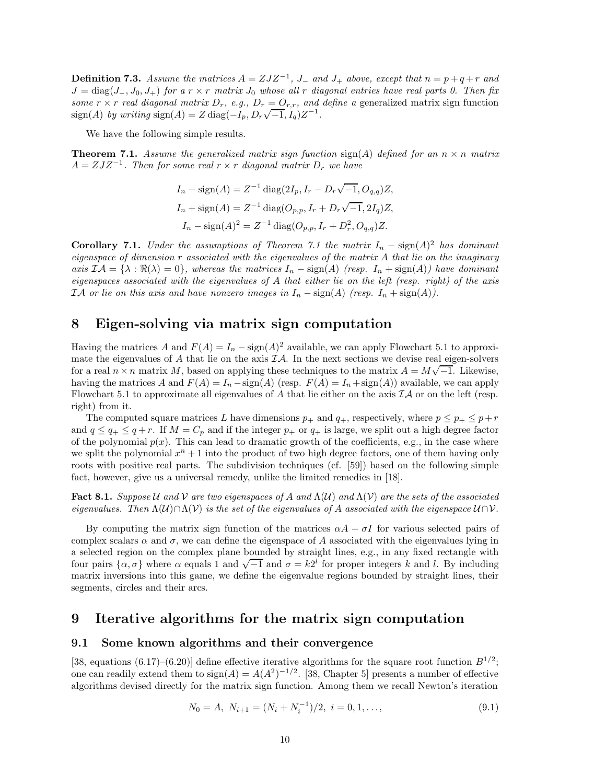**Definition 7.3.** Assume the matrices  $A = ZJZ^{-1}$ ,  $J$ <sub>−</sub> and  $J$ <sub>+</sub> above, except that  $n = p + q + r$  and  $J = \text{diag}(J_-, J_0, J_+)$  *for a*  $r \times r$  *matrix*  $J_0$  *whose all*  $r$  *diagonal entries have real parts 0. Then fix some*  $r \times r$  *real diagonal matrix*  $D_r$ *, e.g.,*  $D_r = O_{r,r}$ *, and define a* generalized matrix sign function  $\lim_{x \to a} \int F(x, y) \, dy$  writing  $\operatorname{sign}(A) = Z \operatorname{diag}(-I_p, D_r \sqrt{-1}, I_q) Z^{-1}$ .

We have the following simple results.

**Theorem 7.1.** Assume the generalized matrix sign function  $\text{sign}(A)$  defined for an  $n \times n$  matrix  $A = ZJZ^{-1}$ *. Then for some real*  $r \times r$  *diagonal matrix*  $D_r$  *we have* 

$$
I_n - \text{sign}(A) = Z^{-1} \text{ diag}(2I_p, I_r - D_r \sqrt{-1}, O_{q,q}) Z,
$$
  
\n
$$
I_n + \text{sign}(A) = Z^{-1} \text{ diag}(O_{p,p}, I_r + D_r \sqrt{-1}, 2I_q) Z,
$$
  
\n
$$
I_n - \text{sign}(A)^2 = Z^{-1} \text{ diag}(O_{p,p}, I_r + D_r^2, O_{q,q}) Z.
$$

**Corollary 7.1.** *Under the assumptions of Theorem 7.1 the matrix*  $I_n - \text{sign}(A)^2$  *has dominant eigenspace of dimension r associated with the eigenvalues of the matrix A that lie on the imaginary*  $axis \mathcal{IA} = {\lambda : \Re(\lambda) = 0}$ *, whereas the matrices*  $I_n - \text{sign}(A)$  (resp.  $I_n + \text{sign}(A)$ ) have dominant *eigenspaces associated with the eigenvalues of A that either lie on the left (resp. right) of the axis* IA or lie on this axis and have nonzero images in  $I_n$  – sign(A) (resp.  $I_n$  + sign(A)).

## **8 Eigen-solving via matrix sign computation**

Having the matrices *A* and  $F(A) = I_n - \text{sign}(A)^2$  available, we can apply Flowchart 5.1 to approximate the eigenvalues of  $A$  that lie on the axis  $I\mathcal{A}$ . In the next sections we devise real eigen-solvers for a real  $n \times n$  matrix *M*, based on applying these techniques to the matrix  $A = M\sqrt{-1}$ . Likewise, having the matrices *A* and  $F(A) = I_n - sign(A)$  (resp.  $F(A) = I_n + sign(A)$ ) available, we can apply Flowchart 5.1 to approximate all eigenvalues of A that lie either on the axis  $I\mathcal{A}$  or on the left (resp. right) from it.

The computed square matrices *L* have dimensions  $p_+$  and  $q_+$ , respectively, where  $p \leq p_+ \leq p + r$ and  $q \leq q_+ \leq q + r$ . If  $M = C_p$  and if the integer  $p_+$  or  $q_+$  is large, we split out a high degree factor of the polynomial  $p(x)$ . This can lead to dramatic growth of the coefficients, e.g., in the case where we split the polynomial  $x^n + 1$  into the product of two high degree factors, one of them having only roots with positive real parts. The subdivision techniques (cf. [59]) based on the following simple fact, however, give us a universal remedy, unlike the limited remedies in [18].

**Fact 8.1.** *Suppose*  $U$  *and*  $V$  *are two eigenspaces of*  $A$  *and*  $\Lambda(U)$  *and*  $\Lambda(V)$  *are the sets of the associated eigenvalues.* Then  $\Lambda(\mathcal{U}) \cap \Lambda(\mathcal{V})$  is the set of the eigenvalues of A associated with the eigenspace  $\mathcal{U} \cap \mathcal{V}$ .

By computing the matrix sign function of the matrices  $\alpha A - \sigma I$  for various selected pairs of complex scalars  $\alpha$  and  $\sigma$ , we can define the eigenspace of A associated with the eigenvalues lying in a selected region on the complex plane bounded by straight lines, e.g., in any fixed rectangle with four pairs  $\{\alpha, \sigma\}$  where  $\alpha$  equals 1 and  $\sqrt{-1}$  and  $\sigma = k2^l$  for proper integers k and *l*. By including matrix inversions into this game, we define the eigenvalue regions bounded by straight lines, their segments, circles and their arcs.

## **9 Iterative algorithms for the matrix sign computation**

### **9.1 Some known algorithms and their convergence**

[38, equations  $(6.17)-(6.20)$ ] define effective iterative algorithms for the square root function  $B^{1/2}$ ; one can readily extend them to  $sign(A) = A(A^2)^{-1/2}$ . [38, Chapter 5] presents a number of effective algorithms devised directly for the matrix sign function. Among them we recall Newton's iteration

$$
N_0 = A, N_{i+1} = (N_i + N_i^{-1})/2, i = 0, 1, ...,
$$
\n(9.1)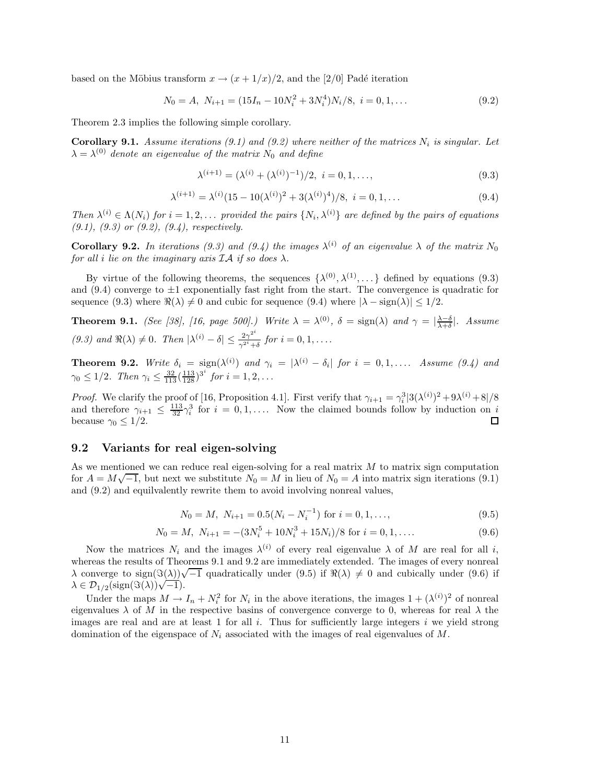based on the Möbius transform  $x \to (x + 1/x)/2$ , and the [2/0] Padé iteration

$$
N_0 = A, N_{i+1} = (15I_n - 10N_i^2 + 3N_i^4)N_i/8, i = 0, 1, ...
$$
\n(9.2)

Theorem 2.3 implies the following simple corollary.

**Corollary 9.1.** *Assume iterations (9.1) and (9.2) where neither of the matrices*  $N_i$  *is singular. Let*  $\lambda = \lambda^{(0)}$  *denote an eigenvalue of the matrix*  $N_0$  *and define* 

$$
\lambda^{(i+1)} = (\lambda^{(i)} + (\lambda^{(i)})^{-1})/2, \ i = 0, 1, ..., \tag{9.3}
$$

$$
\lambda^{(i+1)} = \lambda^{(i)} (15 - 10(\lambda^{(i)})^2 + 3(\lambda^{(i)})^4)/8, \ i = 0, 1, \dots
$$
\n(9.4)

*Then*  $\lambda^{(i)} \in \Lambda(N_i)$  *for*  $i = 1, 2, \ldots$  *provided the pairs*  $\{N_i, \lambda^{(i)}\}$  *are defined by the pairs of equations (9.1), (9.3) or (9.2), (9.4), respectively.*

**Corollary 9.2.** *In iterations (9.3) and (9.4) the images*  $\lambda^{(i)}$  *of an eigenvalue*  $\lambda$  *of the matrix*  $N_0$ *for all i lie on the imaginary axis*  $IA$  *if so does*  $\lambda$ *.* 

By virtue of the following theorems, the sequences  $\{\lambda^{(0)}, \lambda^{(1)}, \ldots\}$  defined by equations (9.3) and  $(9.4)$  converge to  $\pm 1$  exponentially fast right from the start. The convergence is quadratic for sequence (9.3) where  $\Re(\lambda) \neq 0$  and cubic for sequence (9.4) where  $|\lambda - \text{sign}(\lambda)| \leq 1/2$ .

**Theorem 9.1.** *(See [38], [16, page 500].) Write*  $\lambda = \lambda^{(0)}$ ,  $\delta = \text{sign}(\lambda)$  *and*  $\gamma = |\frac{\lambda - \delta}{\lambda + \delta}|$ *. Assume (9.3)* and  $\Re(\lambda) \neq 0$ . Then  $|\lambda^{(i)} - \delta| \leq \frac{2\gamma^{2^i}}{\gamma^{2^i} + \delta}$  for  $i = 0, 1, \ldots$ 

**Theorem 9.2.** Write  $\delta_i = \text{sign}(\lambda^{(i)})$  and  $\gamma_i = |\lambda^{(i)} - \delta_i|$  for  $i = 0, 1, \ldots$  Assume (9.4) and  $\gamma_0 \leq 1/2$ *. Then*  $\gamma_i \leq \frac{32}{113} (\frac{113}{128})^{3^i}$  *for*  $i = 1, 2, ...$ 

*Proof.* We clarify the proof of [16, Proposition 4.1]. First verify that  $\gamma_{i+1} = \gamma_i^3 |3(\lambda^{(i)})^2 + 9\lambda^{(i)} + 8|/8$ and therefore  $\gamma_{i+1} \leq \frac{113}{32} \gamma_i^3$  for  $i = 0, 1, \ldots$  Now the claimed bounds follow by induction on *i* because  $\gamma_0 \leq 1/2$ .

#### **9.2 Variants for real eigen-solving**

As we mentioned we can reduce real eigen-solving for a real matrix *M* to matrix sign computation for  $A = M\sqrt{-1}$ , but next we substitute  $N_0 = M$  in lieu of  $N_0 = A$  into matrix sign iterations (9.1) and (9.2) and equilvalently rewrite them to avoid involving nonreal values,

$$
N_0 = M, N_{i+1} = 0.5(N_i - N_i^{-1}) \text{ for } i = 0, 1, ...,
$$
\n(9.5)

$$
N_0 = M, N_{i+1} = -(3N_i^5 + 10N_i^3 + 15N_i)/8 \text{ for } i = 0, 1, ....
$$
\n(9.6)

Now the matrices  $N_i$  and the images  $\lambda^{(i)}$  of every real eigenvalue  $\lambda$  of  $M$  are real for all *i*, whereas the results of Theorems 9.1 and 9.2 are immediately extended. The images of every nonreal *λ* converge to sign( $\Im(\lambda)/\sqrt{-1}$  quadratically under (9.5) if  $\Re(\lambda) \neq 0$  and cubically under (9.6) if  $\lambda \in \mathcal{D}_{1/2}(\text{sign}(\Im(\lambda))\sqrt{-1}).$ 

Under the maps  $M \to I_n + N_i^2$  for  $N_i$  in the above iterations, the images  $1 + (\lambda^{(i)})^2$  of nonreal eigenvalues  $\lambda$  of *M* in the respective basins of convergence converge to 0, whereas for real  $\lambda$  the images are real and are at least 1 for all *i*. Thus for sufficiently large integers *i* we yield strong domination of the eigenspace of *N<sup>i</sup>* associated with the images of real eigenvalues of *M*.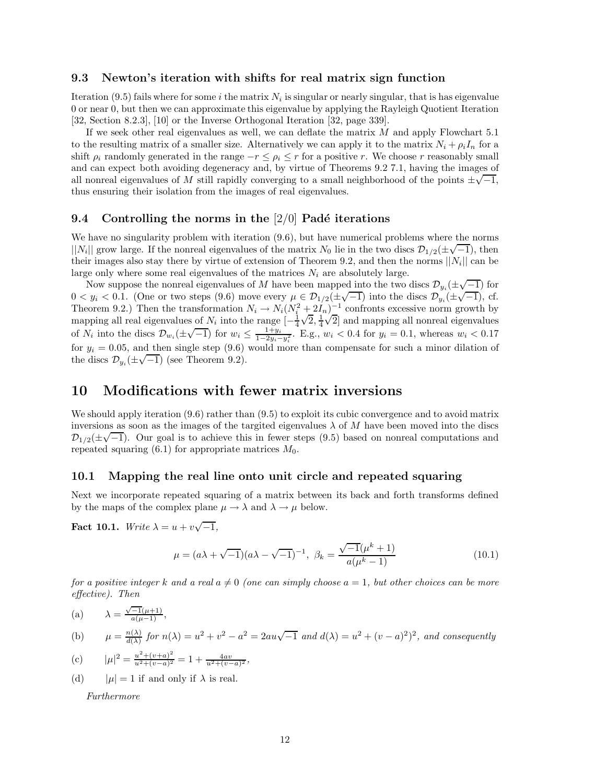#### **9.3 Newton's iteration with shifts for real matrix sign function**

Iteration (9.5) fails where for some *i* the matrix  $N_i$  is singular or nearly singular, that is has eigenvalue 0 or near 0, but then we can approximate this eigenvalue by applying the Rayleigh Quotient Iteration [32, Section 8.2.3], [10] or the Inverse Orthogonal Iteration [32, page 339].

If we seek other real eigenvalues as well, we can deflate the matrix *M* and apply Flowchart 5.1 to the resulting matrix of a smaller size. Alternatively we can apply it to the matrix  $N_i + \rho_i I_n$  for a shift  $\rho_i$  randomly generated in the range  $-r \leq \rho_i \leq r$  for a positive *r*. We choose *r* reasonably small and can expect both avoiding degeneracy and, by virtue of Theorems 9.2 7.1, having the images of all nonreal eigenvalues of *M* still rapidly converging to a small neighborhood of the points  $\pm \sqrt{-1}$ , thus ensuring their isolation from the images of real eigenvalues.

### **9.4** Controlling the norms in the [2/0] Padé iterations

We have no singularity problem with iteration  $(9.6)$ , but have numerical problems where the norms We have no singularity problem with iteration (9.0), but have numerical problems where the norms  $||N_i||$  grow large. If the nonreal eigenvalues of the matrix  $N_0$  lie in the two discs  $\mathcal{D}_{1/2}(\pm\sqrt{-1})$ , then their images also stay there by virtue of extension of Theorem 9.2, and then the norms  $||N_i||$  can be large only where some real eigenvalues of the matrices  $N_i$  are absolutely large.

Now suppose the nonreal eigenvalues of *M* have been mapped into the two discs  $\mathcal{D}_{y_i}(\pm \sqrt{-1})$  for Now suppose the nonreal eigenvalues of *M* have been mapped into the two discs  $\mathcal{D}_{y_i}(\pm \sqrt{-1})$  for Now suppose the homean eigenvalues of *M* have been mapped into the two discs  $D_{y_i}(\pm \sqrt{-1})$  for  $0 < y_i < 0.1$ . (One or two steps (9.6) move every  $\mu \in \mathcal{D}_{1/2}(\pm \sqrt{-1})$  into the discs  $\mathcal{D}_{y_i}(\pm \sqrt{-1})$ , cf. Theorem 9.2.) Then the transformation  $N_i \to N_i(N_i^2 + 2I_n)^{-1}$  confronts excessive norm growth by mapping all real eigenvalues of  $N_i$  into the range  $\left[-\frac{1}{4}\right]$  $\sqrt{2}$ ,  $\frac{1}{4}\sqrt{2}$  and mapping all nonreal eigenvalues the plus and the discs  $\mathcal{D}_{w_i}(\pm \sqrt{-1})$  for  $w_i \leq \frac{1+y_i}{1-2y_i-y_i^2}$ . E.g.,  $w_i < 0.4$  for  $y_i = 0.1$ , whereas  $w_i < 0.17$ for  $y_i = 0.05$ , and then single step  $(9.6)$  would more than compensate for such a minor dilation of the discs  $\mathcal{D}_{y_i}(\pm \sqrt{-1})$  (see Theorem 9.2).

## **10 Modifications with fewer matrix inversions**

We should apply iteration  $(9.6)$  rather than  $(9.5)$  to exploit its cubic convergence and to avoid matrix inversions as soon as the images of the targited eigenvalues  $\lambda$  of *M* have been moved into the discs D<sub>1/2</sub>( $\pm\sqrt{-1}$ ). Our goal is to achieve this in fewer steps (9.5) based on nonreal computations and repeated squaring  $(6.1)$  for appropriate matrices  $M_0$ .

#### **10.1 Mapping the real line onto unit circle and repeated squaring**

Next we incorporate repeated squaring of a matrix between its back and forth transforms defined by the maps of the complex plane  $\mu \to \lambda$  and  $\lambda \to \mu$  below.

**Fact 10.1.** *Write*  $\lambda = u + v\sqrt{-1}$ *,* 

$$
\mu = (a\lambda + \sqrt{-1})(a\lambda - \sqrt{-1})^{-1}, \ \beta_k = \frac{\sqrt{-1}(\mu^k + 1)}{a(\mu^k - 1)}
$$
(10.1)

*for a positive integer k* and a real  $a \neq 0$  (one can simply choose  $a = 1$ , but other choices can be more *effective). Then*

(a) 
$$
\lambda = \frac{\sqrt{-1}(\mu+1)}{a(\mu-1)},
$$

(b) 
$$
\mu = \frac{n(\lambda)}{d(\lambda)} \text{ for } n(\lambda) = u^2 + v^2 - a^2 = 2au\sqrt{-1} \text{ and } d(\lambda) = u^2 + (v - a)^2)^2, \text{ and consequently}
$$

(c) 
$$
|\mu|^2 = \frac{u^2 + (v+a)^2}{u^2 + (v-a)^2} = 1 + \frac{4av}{u^2 + (v-a)^2},
$$

(d)  $|\mu| = 1$  if and only if  $\lambda$  is real.

*Furthermore*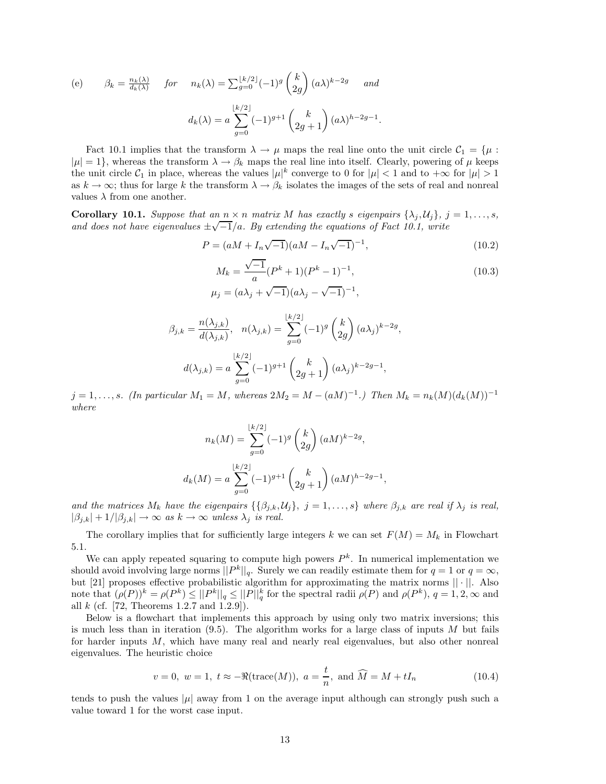(e) 
$$
\beta_k = \frac{n_k(\lambda)}{d_k(\lambda)} \quad \text{for} \quad n_k(\lambda) = \sum_{g=0}^{\lfloor k/2 \rfloor} (-1)^g \binom{k}{2g} (a\lambda)^{k-2g} \quad \text{and}
$$

$$
d_k(\lambda) = a \sum_{g=0}^{\lfloor k/2 \rfloor} (-1)^{g+1} \binom{k}{2g+1} (a\lambda)^{h-2g-1}.
$$

Fact 10.1 implies that the transform  $\lambda \to \mu$  maps the real line onto the unit circle  $C_1 = {\mu :}$  $|\mu| = 1$ , whereas the transform  $\lambda \to \beta_k$  maps the real line into itself. Clearly, powering of  $\mu$  keeps the unit circle  $C_1$  in place, whereas the values  $|\mu|^k$  converge to 0 for  $|\mu| < 1$  and to  $+\infty$  for  $|\mu| > 1$ as  $k \to \infty$ ; thus for large *k* the transform  $\lambda \to \beta_k$  isolates the images of the sets of real and nonreal values  $\lambda$  from one another.

**Corollary 10.1.** Suppose that an  $n \times n$  matrix M has exactly s eigenpairs  $\{\lambda_j, \mathcal{U}_j\}$ ,  $j = 1, \ldots, s$ , Coronary 10.1. Suppose that an  $n \times n$  matrix in has exactly s eigenpaths  $\{\lambda_j, \lambda_j\}$ ,  $j$  and does not have eigenvalues  $\pm \sqrt{-1}/a$ . By extending the equations of Fact 10.1, write

$$
P = (aM + I_n \sqrt{-1})(aM - I_n \sqrt{-1})^{-1},
$$
\n(10.2)

$$
M_k = \frac{\sqrt{-1}}{a} (P^k + 1)(P^k - 1)^{-1},
$$
  
\n
$$
\mu_j = (a\lambda_j + \sqrt{-1})(a\lambda_j - \sqrt{-1})^{-1},
$$
\n(10.3)

$$
\beta_{j,k} = \frac{n(\lambda_{j,k})}{d(\lambda_{j,k})}, \quad n(\lambda_{j,k}) = \sum_{g=0}^{\lfloor k/2 \rfloor} (-1)^g \binom{k}{2g} (a\lambda_j)^{k-2g},
$$

$$
d(\lambda_{j,k}) = a \sum_{g=0}^{\lfloor k/2 \rfloor} (-1)^{g+1} \binom{k}{2g+1} (a\lambda_j)^{k-2g-1},
$$

*j* = 1*,...,s.* (*In particular*  $M_1 = M$ *, whereas*  $2M_2 = M - (aM)^{-1}$ *.) Then*  $M_k = n_k(M)(d_k(M))^{-1}$ *where*

$$
n_k(M) = \sum_{g=0}^{\lfloor k/2 \rfloor} (-1)^g \binom{k}{2g} (aM)^{k-2g},
$$
  

$$
d_k(M) = a \sum_{g=0}^{\lfloor k/2 \rfloor} (-1)^{g+1} \binom{k}{2g+1} (aM)^{h-2g-1},
$$

*and the matrices*  $M_k$  *have the eigenpairs*  $\{\{\beta_{j,k}, \mathcal{U}_j\}, \ j = 1, \ldots, s\}$  *where*  $\beta_{j,k}$  *are real if*  $\lambda_j$  *is real,*  $|\beta_{j,k}| + 1/|\beta_{j,k}| \to \infty$  *as*  $k \to \infty$  *unless*  $\lambda_j$  *is real.* 

The corollary implies that for sufficiently large integers *k* we can set  $F(M) = M_k$  in Flowchart 5.1.

We can apply repeated squaring to compute high powers *P<sup>k</sup>*. In numerical implementation we should avoid involving large norms  $||P^k||_q$ . Surely we can readily estimate them for  $q = 1$  or  $q = \infty$ , but [21] proposes effective probabilistic algorithm for approximating the matrix norms  $|| \cdot ||$ . Also note that  $(\rho(P))^k = \rho(P^k) \le ||P^k||_q \le ||P||_q^k$  for the spectral radii  $\rho(P)$  and  $\rho(P^k)$ ,  $q = 1, 2, \infty$  and all *k* (cf. [72, Theorems 1.2.7 and 1.2.9]).

Below is a flowchart that implements this approach by using only two matrix inversions; this is much less than in iteration (9.5). The algorithm works for a large class of inputs *M* but fails for harder inputs *M*, which have many real and nearly real eigenvalues, but also other nonreal eigenvalues. The heuristic choice

$$
v = 0, w = 1, t \approx -\Re(\text{trace}(M)), a = \frac{t}{n}, \text{ and } \widehat{M} = M + tI_n
$$
 (10.4)

tends to push the values  $|\mu|$  away from 1 on the average input although can strongly push such a value toward 1 for the worst case input.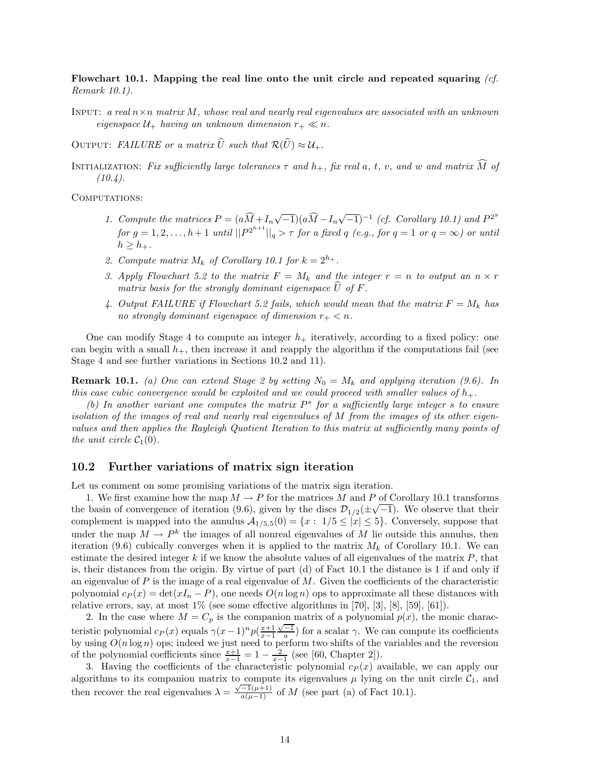**Flowchart 10.1. Mapping the real line onto the unit circle and repeated squaring** *(cf. Remark 10.1).*

Input: *a real n*×*n matrix M, whose real and nearly real eigenvalues are associated with an unknown eigenspace*  $U_+$  *having an unknown dimension*  $r_+ \ll n$ *.* 

OUTPUT: *FAILURE* or a matrix  $\hat{U}$  such that  $\mathcal{R}(\hat{U}) \approx \mathcal{U}_{+}$ .

**INITIALIZATION:** Fix sufficiently large tolerances  $τ$  and  $h_+$ , fix real  $a, t, v$ , and  $w$  and matrix  $M$  of *(10.4).*

COMPUTATIONS:

- *1. Compute the matrices*  $P = (a\widehat{M} + I_n\sqrt{-1})(a\widehat{M} I_n\sqrt{-1})^{-1}$  (*cf. Corollary 10.1)* and  $P^{2g}$  $f \circ g = 1, 2, \ldots, h+1$  *until*  $||P^{2^{h+1}}||_q > \tau$  *for a fixed q (e.g., for q = 1 or q = ∞) or until*  $h > h_{+}.$
- 2. Compute matrix  $M_k$  of Corollary 10.1 for  $k = 2^{h_+}$ .
- *3. Apply Flowchart 5.2 to the matrix*  $F = M_k$  *and the integer*  $r = n$  *to output an*  $n \times r$ *matrix basis for the strongly dominant eigenspace*  $\widehat{U}$  *of*  $F$ *.*
- 4. Output FAILURE if Flowchart 5.2 fails, which would mean that the matrix  $F = M_k$  has *no strongly dominant eigenspace of dimension*  $r_{+} < n$ .

One can modify Stage 4 to compute an integer  $h_+$  iteratively, according to a fixed policy: one can begin with a small  $h_{+}$ , then increase it and reapply the algorithm if the computations fail (see Stage 4 and see further variations in Sections 10.2 and 11).

**Remark 10.1.** *(a)* One can extend Stage 2 by setting  $N_0 = M_k$  and applying iteration (9.6). In *this case cubic convergence would be exploited and we could proceed with smaller values of*  $h_+$ *.* 

*(b) In another variant one computes the matrix P<sup>s</sup> for a sufficiently large integer s to ensure isolation of the images of real and nearly real eigenvalues of M from the images of its other eigenvalues and then applies the Rayleigh Quotient Iteration to this matrix at sufficiently many points of the unit circle*  $C_1(0)$ *.* 

#### **10.2 Further variations of matrix sign iteration**

Let us comment on some promising variations of the matrix sign iteration.

1. We first examine how the map  $M \to P$  for the matrices M and P of Corollary 10.1 transforms the basin of convergence of iteration (9.6), given by the discs  $\mathcal{D}_{1/2}(\pm\sqrt{-1})$ . We observe that their complement is mapped into the annulus  $A_{1/5,5}(0) = \{x : 1/5 \leq |x| \leq 5\}$ . Conversely, suppose that under the map  $M \to P^k$  the images of all nonreal eigenvalues of M lie outside this annulus, then iteration (9.6) cubically converges when it is applied to the matrix  $M_k$  of Corollary 10.1. We can estimate the desired integer *k* if we know the absolute values of all eigenvalues of the matrix *P*, that is, their distances from the origin. By virtue of part (d) of Fact 10.1 the distance is 1 if and only if an eigenvalue of *P* is the image of a real eigenvalue of *M*. Given the coefficients of the characteristic polynomial  $c_P(x) = \det(xI_n - P)$ , one needs  $O(n \log n)$  ops to approximate all these distances with relative errors, say, at most  $1\%$  (see some effective algorithms in [70], [3], [8], [59], [61]).

2. In the case where  $M = C_p$  is the companion matrix of a polynomial  $p(x)$ , the monic characteristic polynomial  $c_P(x)$  equals  $\gamma(x-1)^n p(\frac{x+1}{x-1}\frac{\sqrt{-1}}{a})$  for a scalar  $\gamma$ . We can compute its coefficients by using *O*(*n* log *n*) ops; indeed we just need to perform two shifts of the variables and the reversion of the polynomial coefficients since  $\frac{x+1}{x-1} = 1 - \frac{2}{x-1}$  (see [60, Chapter 2]).

3. Having the coefficients of the characteristic polynomial  $c<sub>P</sub>(x)$  available, we can apply our algorithms to its companion matrix to compute its eigenvalues  $\mu$  lying on the unit circle  $\mathcal{C}_1$ , and then recover the real eigenvalues  $\lambda = \frac{\sqrt{-1}(\mu+1)}{a(\mu-1)}$  $\frac{-1(\mu+1)}{a(\mu-1)}$  of *M* (see part (a) of Fact 10.1).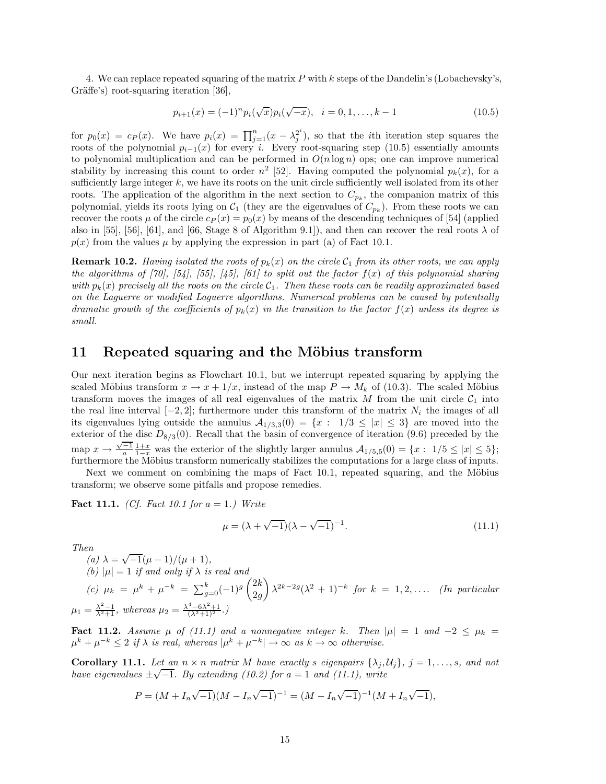4. We can replace repeated squaring of the matrix *P* with *k* steps of the Dandelin's (Lobachevsky's, Gräffe's) root-squaring iteration  $[36]$ ,

$$
p_{i+1}(x) = (-1)^n p_i(\sqrt{x}) p_i(\sqrt{-x}), \quad i = 0, 1, \dots, k-1
$$
\n(10.5)

for  $p_0(x) = c_P(x)$ . We have  $p_i(x) = \prod_{j=1}^n (x - \lambda_j^{2^i})$ , so that the *i*th iteration step squares the roots of the polynomial  $p_{i-1}(x)$  for every *i*. Every root-squaring step (10.5) essentially amounts to polynomial multiplication and can be performed in  $O(n \log n)$  ops; one can improve numerical stability by increasing this count to order  $n^2$  [52]. Having computed the polynomial  $p_k(x)$ , for a sufficiently large integer *k*, we have its roots on the unit circle sufficiently well isolated from its other roots. The application of the algorithm in the next section to  $C_{p_k}$ , the companion matrix of this polynomial, yields its roots lying on  $C_1$  (they are the eigenvalues of  $C_{p_k}$ ). From these roots we can recover the roots  $\mu$  of the circle  $c_P(x) = p_0(x)$  by means of the descending techniques of [54] (applied also in [55], [56], [61], and [66, Stage 8 of Algorithm 9.1]), and then can recover the real roots  $\lambda$  of  $p(x)$  from the values  $\mu$  by applying the expression in part (a) of Fact 10.1.

**Remark 10.2.** *Having isolated the roots of*  $p_k(x)$  *on the circle*  $C_1$  *from its other roots, we can apply the algorithms of [70], [54], [55], [45], [61] to split out the factor f*(*x*) *of this polynomial sharing with*  $p_k(x)$  precisely all the roots on the circle  $C_1$ *. Then these roots can be readily approximated based on the Laguerre or modified Laguerre algorithms. Numerical problems can be caused by potentially dramatic growth of the coefficients of*  $p_k(x)$  *in the transition to the factor*  $f(x)$  *unless its degree is small.*

## **11 Repeated squaring and the Möbius transform**

Our next iteration begins as Flowchart 10.1, but we interrupt repeated squaring by applying the scaled Möbius transform  $x \to x + 1/x$ , instead of the map  $P \to M_k$  of (10.3). The scaled Möbius transform moves the images of all real eigenvalues of the matrix  $M$  from the unit circle  $C_1$  into the real line interval  $[-2, 2]$ ; furthermore under this transform of the matrix  $N_i$  the images of all its eigenvalues lying outside the annulus  $A_{1/3,3}(0) = \{x : 1/3 \leq |x| \leq 3\}$  are moved into the exterior of the disc  $D_{8/3}(0)$ . Recall that the basin of convergence of iteration (9.6) preceded by the map  $x \to \frac{\sqrt{-1}}{a} \frac{1+x}{1-x}$  was the exterior of the slightly larger annulus  $\mathcal{A}_{1/5,5}(0) = \{x : 1/5 \le |x| \le 5\};$ furthermore the Möbius transform numerically stabilizes the computations for a large class of inputs.

Next we comment on combining the maps of Fact  $10.1$ , repeated squaring, and the Möbius transform; we observe some pitfalls and propose remedies.

**Fact 11.1.** *(Cf. Fact 10.1 for a* = 1*.) Write*

$$
\mu = (\lambda + \sqrt{-1})(\lambda - \sqrt{-1})^{-1}.
$$
\n(11.1)

*Then*

 $(a)$   $\lambda = \sqrt{-1}(\mu - 1)/(\mu + 1)$ , *(b)*  $|\mu| = 1$  *if and only if*  $\lambda$  *is real and*  $\int_{0}^{L} f(t) \mu_k = \mu^k + \mu^{-k} = \sum_{g=0}^{k} (-1)^g \left( \frac{2k}{2g} \right)$ 2*g*  $\int \lambda^{2k-2g}(\lambda^2+1)^{-k}$  *for*  $k = 1, 2, \ldots$  *(In particular*)  $\mu_1 = \frac{\lambda^2 - 1}{\lambda^2 + 1}$ , whereas  $\mu_2 = \frac{\lambda^4 - 6\lambda^2 + 1}{(\lambda^2 + 1)^2}$ .)

**Fact 11.2.** *Assume*  $\mu$  *of* (11.1) and a nonnegative integer k. Then  $|\mu| = 1$  and  $-2 \leq \mu_k =$  $\mu^k + \mu^{-k} \leq 2$  *if*  $\lambda$  *is real, whereas*  $|\mu^k + \mu^{-k}| \to \infty$  *as*  $k \to \infty$  *otherwise.* 

**Corollary 11.1.** Let an  $n \times n$  matrix M have exactly s eigenpairs  $\{\lambda_j, \mathcal{U}_j\}$ ,  $j = 1, \ldots, s$ *, and not*  $\alpha$  is extending  $\alpha_1$ ,  $\beta_2$ ,  $\beta_3$ ,  $\gamma_4$ ,  $\beta_5$ ,  $\gamma_5$ ,  $\alpha_6$  is extending (10.2) for  $a = 1$  and (11.1), write

$$
P = (M + I_n \sqrt{-1})(M - I_n \sqrt{-1})^{-1} = (M - I_n \sqrt{-1})^{-1}(M + I_n \sqrt{-1}),
$$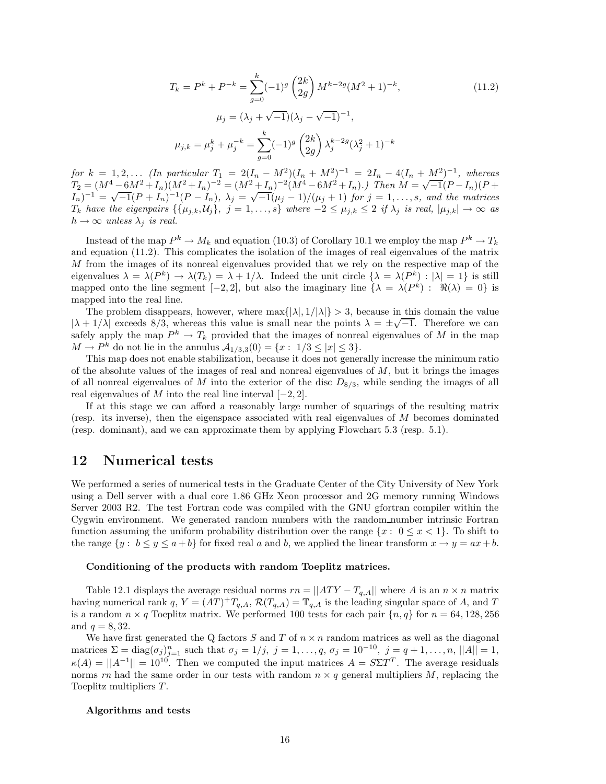$$
T_k = P^k + P^{-k} = \sum_{g=0}^k (-1)^g {2k \choose 2g} M^{k-2g} (M^2 + 1)^{-k},
$$
  
\n
$$
\mu_j = (\lambda_j + \sqrt{-1})(\lambda_j - \sqrt{-1})^{-1},
$$
  
\n
$$
\mu_{j,k} = \mu_j^k + \mu_j^{-k} = \sum_{g=0}^k (-1)^g {2k \choose 2g} \lambda_j^{k-2g} (\lambda_j^2 + 1)^{-k}
$$
 (11.2)

for  $k = 1, 2, ...$  (In particular  $T_1 = 2(I_n - M^2)(I_n + M^2)^{-1} = 2I_n - 4(I_n + M^2)^{-1}$ , whereas  $T_2 = (M^4 - 6M^2 + I_n)(M^2 + I_n)^{-2} = (M^2 + I_n)^{-2}(M^4 - 6M^2 + I_n)$ .) Then  $M = \sqrt{-1}(P - I_n)(P + I_n)$  $I_1 = (M - 6M + I_n)(M + I_n) = (M + I_n)$   $(M - 6M + I_n)$ . Then  $M = \sqrt{-1}(P - I_n)(P + I_n)^{-1} = \sqrt{-1}(P + I_n)^{-1}(P - I_n)$ ,  $\lambda_j = \sqrt{-1}(\mu_j - 1)/(\mu_j + 1)$  for  $j = 1, ..., s$ , and the matrices  $T_k$  have the eigenpairs  $\{\{\mu_{j,k},\mathcal{U}_j\},\ j=1,\ldots,s\}$  where  $-2\leq\mu_{j,k}\leq 2$  if  $\lambda_j$  is real,  $|\mu_{j,k}|\to\infty$  as  $h \rightarrow \infty$  *unless*  $\lambda_i$  *is real.* 

Instead of the map  $P^k \to M_k$  and equation (10.3) of Corollary 10.1 we employ the map  $P^k \to T_k$ and equation (11.2). This complicates the isolation of the images of real eigenvalues of the matrix *M* from the images of its nonreal eigenvalues provided that we rely on the respective map of the eigenvalues  $\lambda = \lambda(P^k) \rightarrow \lambda(T_k) = \lambda + 1/\lambda$ . Indeed the unit circle  $\{\lambda = \lambda(P^k) : |\lambda| = 1\}$  is still mapped onto the line segment  $[-2, 2]$ , but also the imaginary line  $\hat{\lambda} = \lambda(P^k)$ :  $\hat{\Re}(\lambda) = 0$  is mapped into the real line.

The problem disappears, however, where  $\max\{|\lambda|, 1/|\lambda|\} > 3$ , because in this domain the value |*λ* + 1/ $\lambda$ | exceeds 8/3, whereas this value is small near the points  $\lambda = \pm \sqrt{-1}$ . Therefore we can safely apply the map  $P^k \to T_k$  provided that the images of nonreal eigenvalues of *M* in the map *M* → *P*<sup>*k*</sup> do not lie in the annulus  $A_{1/3,3}(0) = \{x : 1/3 \le |x| \le 3\}.$ 

This map does not enable stabilization, because it does not generally increase the minimum ratio of the absolute values of the images of real and nonreal eigenvalues of *M*, but it brings the images of all nonreal eigenvalues of *M* into the exterior of the disc  $D_{8/3}$ , while sending the images of all real eigenvalues of *M* into the real line interval  $[-2, 2]$ .

If at this stage we can afford a reasonably large number of squarings of the resulting matrix (resp. its inverse), then the eigenspace associated with real eigenvalues of *M* becomes dominated (resp. dominant), and we can approximate them by applying Flowchart 5.3 (resp. 5.1).

### **12 Numerical tests**

We performed a series of numerical tests in the Graduate Center of the City University of New York using a Dell server with a dual core 1.86 GHz Xeon processor and 2G memory running Windows Server 2003 R2. The test Fortran code was compiled with the GNU gfortran compiler within the Cygwin environment. We generated random numbers with the random number intrinsic Fortran function assuming the uniform probability distribution over the range  $\{x: 0 \leq x < 1\}$ . To shift to the range  $\{y : b \leq y \leq a + b\}$  for fixed real *a* and *b*, we applied the linear transform  $x \to y = ax + b$ .

#### **Conditioning of the products with random Toeplitz matrices.**

Table 12.1 displays the average residual norms  $rn = ||ATY - T_{q,A}||$  where *A* is an  $n \times n$  matrix having numerical rank *q*,  $Y = (AT)^+T_{q,A}$ ,  $\mathcal{R}(T_{q,A}) = T_{q,A}$  is the leading singular space of *A*, and *T* is a random  $n \times q$  Toeplitz matrix. We performed 100 tests for each pair  $\{n, q\}$  for  $n = 64, 128, 256$ and  $q = 8, 32$ .

We have first generated the Q factors *S* and *T* of  $n \times n$  random matrices as well as the diagonal matrices  $\Sigma = \text{diag}(\sigma_j)_{j=1}^n$  such that  $\sigma_j = 1/j$ ,  $j = 1, \ldots, q$ ,  $\sigma_j = 10^{-10}$ ,  $j = q + 1, \ldots, n$ ,  $||A|| = 1$ ,  $\kappa(A) = ||A^{-1}|| = 10^{10}$ . Then we computed the input matrices  $A = S \Sigma T^T$ . The average residuals norms  $rn$  had the same order in our tests with random  $n \times q$  general multipliers  $M$ , replacing the Toeplitz multipliers *T*.

#### **Algorithms and tests**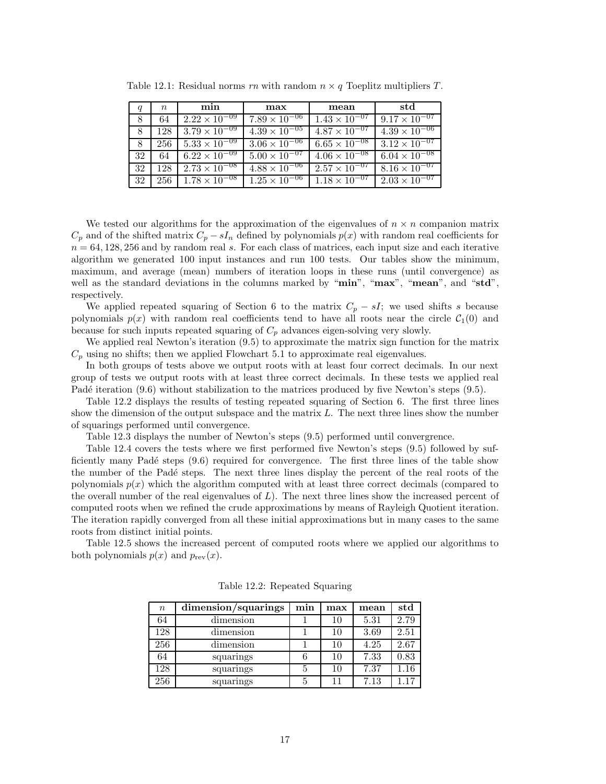| q   | $n_{\rm c}$ | min                    | max                    | mean                   | std                    |
|-----|-------------|------------------------|------------------------|------------------------|------------------------|
|     | 64          | $2.22 \times 10^{-09}$ | $7.89 \times 10^{-06}$ | $1.43 \times 10^{-07}$ | $9.17 \times 10^{-07}$ |
| 8   | 128         | $3.79 \times 10^{-09}$ | $4.39 \times 10^{-05}$ | $4.87 \times 10^{-07}$ | $4.39 \times 10^{-06}$ |
| 8   | 256         | $5.33 \times 10^{-09}$ | $3.06 \times 10^{-06}$ | $6.65 \times 10^{-08}$ | $3.12 \times 10^{-07}$ |
| 32  | 64          | $6.22 \times 10^{-09}$ | $5.00 \times 10^{-07}$ | $4.06 \times 10^{-08}$ | $6.04 \times 10^{-08}$ |
| 32  | 128         | $2.73 \times 10^{-08}$ | $4.88 \times 10^{-06}$ | $2.57 \times 10^{-07}$ | $8.16 \times 10^{-07}$ |
| -32 | 256         | $1.78 \times 10^{-08}$ | $1.25 \times 10^{-06}$ | $1.18 \times 10^{-07}$ | $2.03 \times 10^{-07}$ |

Table 12.1: Residual norms  $rn$  with random  $n \times q$  Toeplitz multipliers  $T$ .

We tested our algorithms for the approximation of the eigenvalues of  $n \times n$  companion matrix  $C_p$  and of the shifted matrix  $C_p - sI_n$  defined by polynomials  $p(x)$  with random real coefficients for *n* = 64*,* 128*,* 256 and by random real *s*. For each class of matrices, each input size and each iterative algorithm we generated 100 input instances and run 100 tests. Our tables show the minimum, maximum, and average (mean) numbers of iteration loops in these runs (until convergence) as well as the standard deviations in the columns marked by "**min**", "**max**", "**mean**", and "**std**", respectively.

We applied repeated squaring of Section 6 to the matrix  $C_p - sI$ ; we used shifts *s* because polynomials  $p(x)$  with random real coefficients tend to have all roots near the circle  $C_1(0)$  and because for such inputs repeated squaring of *C<sup>p</sup>* advances eigen-solving very slowly.

We applied real Newton's iteration (9.5) to approximate the matrix sign function for the matrix  $C_p$  using no shifts; then we applied Flowchart 5.1 to approximate real eigenvalues.

In both groups of tests above we output roots with at least four correct decimals. In our next group of tests we output roots with at least three correct decimals. In these tests we applied real Padé iteration  $(9.6)$  without stabilization to the matrices produced by five Newton's steps  $(9.5)$ .

Table 12.2 displays the results of testing repeated squaring of Section 6. The first three lines show the dimension of the output subspace and the matrix *L*. The next three lines show the number of squarings performed until convergence.

Table 12.3 displays the number of Newton's steps (9.5) performed until convergrence.

Table 12.4 covers the tests where we first performed five Newton's steps (9.5) followed by sufficiently many Padé steps  $(9.6)$  required for convergence. The first three lines of the table show the number of the Padé steps. The next three lines display the percent of the real roots of the polynomials  $p(x)$  which the algorithm computed with at least three correct decimals (compared to the overall number of the real eigenvalues of *L*). The next three lines show the increased percent of computed roots when we refined the crude approximations by means of Rayleigh Quotient iteration. The iteration rapidly converged from all these initial approximations but in many cases to the same roots from distinct initial points.

Table 12.5 shows the increased percent of computed roots where we applied our algorithms to both polynomials  $p(x)$  and  $p_{rev}(x)$ .

| $\, n$ | dimension/squarings | min | max | mean | std  |
|--------|---------------------|-----|-----|------|------|
| 64     | dimension           |     | 10  | 5.31 | 2.79 |
| 128    | dimension           |     | 10  | 3.69 | 2.51 |
| 256    | dimension           |     | 10  | 4.25 | 2.67 |
| 64     | squarings           |     | 10  | 7.33 | 0.83 |
| 128    | squarings           | 5   | 10  | 7.37 | 1.16 |
| 256    | squarings           | 5   |     | 7.13 | 1.17 |

Table 12.2: Repeated Squaring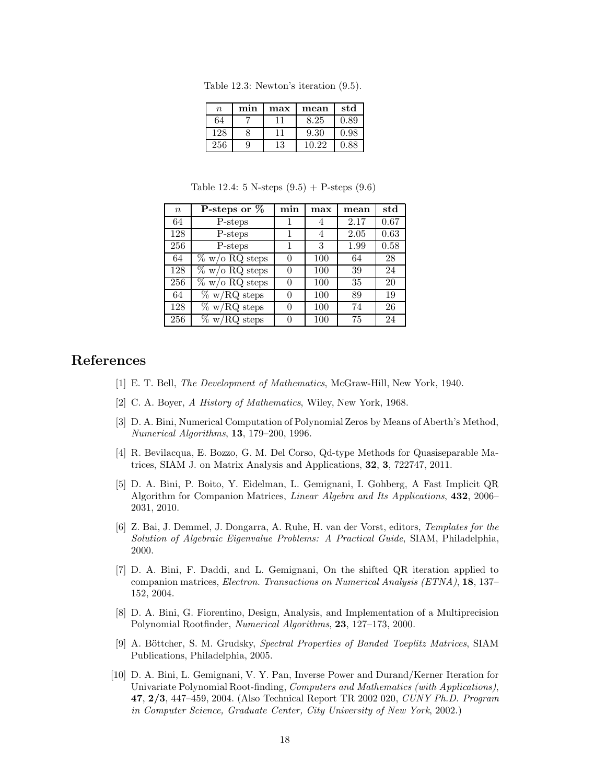| $\, n$ | min | max | mean  | std  |
|--------|-----|-----|-------|------|
| 64     |     |     | 8.25  | 0.89 |
| 128    |     |     | 9.30  | 0.98 |
| 256    |     | 13  | 10.22 | 0.88 |

Table 12.3: Newton's iteration (9.5).

| $\boldsymbol{n}$ | P-steps or $%$    | min          | max | mean | std  |
|------------------|-------------------|--------------|-----|------|------|
| 64               | P-steps           |              | 4   | 2.17 | 0.67 |
| 128              | P-steps           |              | 4   | 2.05 | 0.63 |
| 256              | P-steps           |              | 3   | 1.99 | 0.58 |
| 64               | $\%$ w/o RQ steps | $\Omega$     | 100 | 64   | 28   |
| 128              | $\%$ w/o RQ steps | $\mathbf{0}$ | 100 | 39   | 24   |
| 256              | $\%$ w/o RQ steps |              | 100 | 35   | 20   |
| 64               | $\%$ w/RQ steps   |              | 100 | 89   | 19   |
| 128              | $\%$ w/RQ steps   | $\mathbf{0}$ | 100 | 74   | 26   |
| 256              | $\%$ w/RQ steps   |              | 100 | 75   | 24   |

Table 12.4: 5 N-steps  $(9.5) +$  P-steps  $(9.6)$ 

# **References**

- [1] E. T. Bell, *The Development of Mathematics*, McGraw-Hill, New York, 1940.
- [2] C. A. Boyer, *A History of Mathematics*, Wiley, New York, 1968.
- [3] D. A. Bini, Numerical Computation of Polynomial Zeros by Means of Aberth's Method, *Numerical Algorithms*, **13**, 179–200, 1996.
- [4] R. Bevilacqua, E. Bozzo, G. M. Del Corso, Qd-type Methods for Quasiseparable Matrices, SIAM J. on Matrix Analysis and Applications, **32**, **3**, 722747, 2011.
- [5] D. A. Bini, P. Boito, Y. Eidelman, L. Gemignani, I. Gohberg, A Fast Implicit QR Algorithm for Companion Matrices, *Linear Algebra and Its Applications*, **432**, 2006– 2031, 2010.
- [6] Z. Bai, J. Demmel, J. Dongarra, A. Ruhe, H. van der Vorst, editors, *Templates for the Solution of Algebraic Eigenvalue Problems: A Practical Guide*, SIAM, Philadelphia, 2000.
- [7] D. A. Bini, F. Daddi, and L. Gemignani, On the shifted QR iteration applied to companion matrices, *Electron. Transactions on Numerical Analysis (ETNA)*, **18**, 137– 152, 2004.
- [8] D. A. Bini, G. Fiorentino, Design, Analysis, and Implementation of a Multiprecision Polynomial Rootfinder, *Numerical Algorithms*, **23**, 127–173, 2000.
- [9] A. B¨ottcher, S. M. Grudsky, *Spectral Properties of Banded Toeplitz Matrices*, SIAM Publications, Philadelphia, 2005.
- [10] D. A. Bini, L. Gemignani, V. Y. Pan, Inverse Power and Durand/Kerner Iteration for Univariate Polynomial Root-finding, *Computers and Mathematics (with Applications)*, **47**, **2/3**, 447–459, 2004. (Also Technical Report TR 2002 020, *CUNY Ph.D. Program in Computer Science, Graduate Center, City University of New York*, 2002.)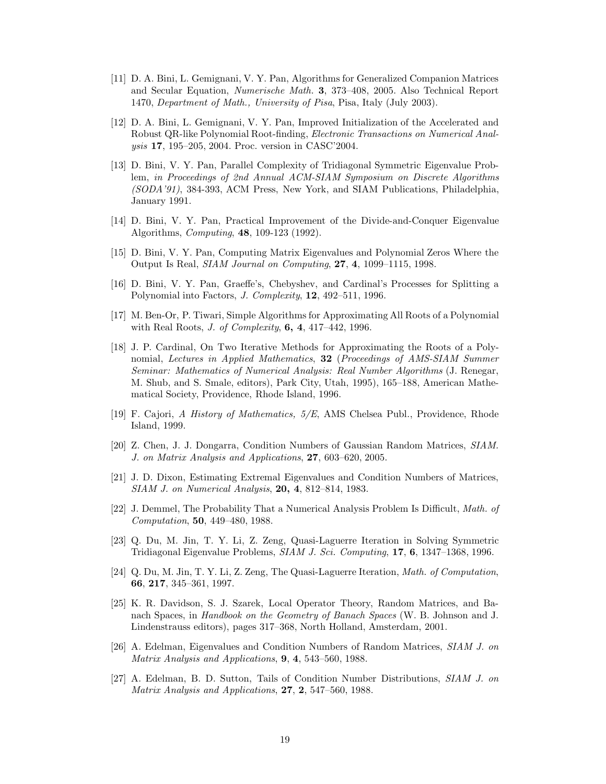- [11] D. A. Bini, L. Gemignani, V. Y. Pan, Algorithms for Generalized Companion Matrices and Secular Equation, *Numerische Math.* **3**, 373–408, 2005. Also Technical Report 1470, *Department of Math., University of Pisa*, Pisa, Italy (July 2003).
- [12] D. A. Bini, L. Gemignani, V. Y. Pan, Improved Initialization of the Accelerated and Robust QR-like Polynomial Root-finding, *Electronic Transactions on Numerical Analysis* **17**, 195–205, 2004. Proc. version in CASC'2004.
- [13] D. Bini, V. Y. Pan, Parallel Complexity of Tridiagonal Symmetric Eigenvalue Problem, *in Proceedings of 2nd Annual ACM-SIAM Symposium on Discrete Algorithms (SODA'91)*, 384-393, ACM Press, New York, and SIAM Publications, Philadelphia, January 1991.
- [14] D. Bini, V. Y. Pan, Practical Improvement of the Divide-and-Conquer Eigenvalue Algorithms, *Computing*, **48**, 109-123 (1992).
- [15] D. Bini, V. Y. Pan, Computing Matrix Eigenvalues and Polynomial Zeros Where the Output Is Real, *SIAM Journal on Computing*, **27**, **4**, 1099–1115, 1998.
- [16] D. Bini, V. Y. Pan, Graeffe's, Chebyshev, and Cardinal's Processes for Splitting a Polynomial into Factors, *J. Complexity*, **12**, 492–511, 1996.
- [17] M. Ben-Or, P. Tiwari, Simple Algorithms for Approximating All Roots of a Polynomial with Real Roots, *J. of Complexity*, **6, 4**, 417–442, 1996.
- [18] J. P. Cardinal, On Two Iterative Methods for Approximating the Roots of a Polynomial, *Lectures in Applied Mathematics*, **32** (*Proceedings of AMS-SIAM Summer Seminar: Mathematics of Numerical Analysis: Real Number Algorithms* (J. Renegar, M. Shub, and S. Smale, editors), Park City, Utah, 1995), 165–188, American Mathematical Society, Providence, Rhode Island, 1996.
- [19] F. Cajori, *A History of Mathematics, 5/E*, AMS Chelsea Publ., Providence, Rhode Island, 1999.
- [20] Z. Chen, J. J. Dongarra, Condition Numbers of Gaussian Random Matrices, *SIAM. J. on Matrix Analysis and Applications*, **27**, 603–620, 2005.
- [21] J. D. Dixon, Estimating Extremal Eigenvalues and Condition Numbers of Matrices, *SIAM J. on Numerical Analysis*, **20, 4**, 812–814, 1983.
- [22] J. Demmel, The Probability That a Numerical Analysis Problem Is Difficult, *Math. of Computation*, **50**, 449–480, 1988.
- [23] Q. Du, M. Jin, T. Y. Li, Z. Zeng, Quasi-Laguerre Iteration in Solving Symmetric Tridiagonal Eigenvalue Problems, *SIAM J. Sci. Computing*, **17**, **6**, 1347–1368, 1996.
- [24] Q. Du, M. Jin, T. Y. Li, Z. Zeng, The Quasi-Laguerre Iteration, *Math. of Computation*, **66**, **217**, 345–361, 1997.
- [25] K. R. Davidson, S. J. Szarek, Local Operator Theory, Random Matrices, and Banach Spaces, in *Handbook on the Geometry of Banach Spaces* (W. B. Johnson and J. Lindenstrauss editors), pages 317–368, North Holland, Amsterdam, 2001.
- [26] A. Edelman, Eigenvalues and Condition Numbers of Random Matrices, *SIAM J. on Matrix Analysis and Applications*, **9**, **4**, 543–560, 1988.
- [27] A. Edelman, B. D. Sutton, Tails of Condition Number Distributions, *SIAM J. on Matrix Analysis and Applications*, **27**, **2**, 547–560, 1988.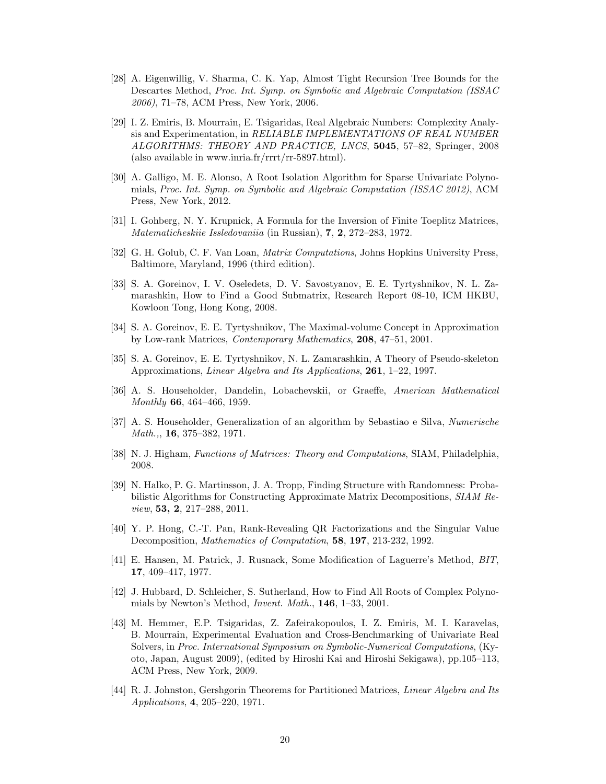- [28] A. Eigenwillig, V. Sharma, C. K. Yap, Almost Tight Recursion Tree Bounds for the Descartes Method, *Proc. Int. Symp. on Symbolic and Algebraic Computation (ISSAC 2006)*, 71–78, ACM Press, New York, 2006.
- [29] I. Z. Emiris, B. Mourrain, E. Tsigaridas, Real Algebraic Numbers: Complexity Analysis and Experimentation, in *RELIABLE IMPLEMENTATIONS OF REAL NUMBER ALGORITHMS: THEORY AND PRACTICE, LNCS*, **5045**, 57–82, Springer, 2008 (also available in www.inria.fr/rrrt/rr-5897.html).
- [30] A. Galligo, M. E. Alonso, A Root Isolation Algorithm for Sparse Univariate Polynomials, *Proc. Int. Symp. on Symbolic and Algebraic Computation (ISSAC 2012)*, ACM Press, New York, 2012.
- [31] I. Gohberg, N. Y. Krupnick, A Formula for the Inversion of Finite Toeplitz Matrices, *Matematicheskiie Issledovaniia* (in Russian), **7**, **2**, 272–283, 1972.
- [32] G. H. Golub, C. F. Van Loan, *Matrix Computations*, Johns Hopkins University Press, Baltimore, Maryland, 1996 (third edition).
- [33] S. A. Goreinov, I. V. Oseledets, D. V. Savostyanov, E. E. Tyrtyshnikov, N. L. Zamarashkin, How to Find a Good Submatrix, Research Report 08-10, ICM HKBU, Kowloon Tong, Hong Kong, 2008.
- [34] S. A. Goreinov, E. E. Tyrtyshnikov, The Maximal-volume Concept in Approximation by Low-rank Matrices, *Contemporary Mathematics*, **208**, 47–51, 2001.
- [35] S. A. Goreinov, E. E. Tyrtyshnikov, N. L. Zamarashkin, A Theory of Pseudo-skeleton Approximations, *Linear Algebra and Its Applications*, **261**, 1–22, 1997.
- [36] A. S. Householder, Dandelin, Lobachevskii, or Graeffe, *American Mathematical Monthly* **66**, 464–466, 1959.
- [37] A. S. Householder, Generalization of an algorithm by Sebastiao e Silva, *Numerische Math.,*, **16**, 375–382, 1971.
- [38] N. J. Higham, *Functions of Matrices: Theory and Computations*, SIAM, Philadelphia, 2008.
- [39] N. Halko, P. G. Martinsson, J. A. Tropp, Finding Structure with Randomness: Probabilistic Algorithms for Constructing Approximate Matrix Decompositions, *SIAM Review*, **53, 2**, 217–288, 2011.
- [40] Y. P. Hong, C.-T. Pan, Rank-Revealing QR Factorizations and the Singular Value Decomposition, *Mathematics of Computation*, **58**, **197**, 213-232, 1992.
- [41] E. Hansen, M. Patrick, J. Rusnack, Some Modification of Laguerre's Method, *BIT*, **17**, 409–417, 1977.
- [42] J. Hubbard, D. Schleicher, S. Sutherland, How to Find All Roots of Complex Polynomials by Newton's Method, *Invent. Math.*, **146**, 1–33, 2001.
- [43] M. Hemmer, E.P. Tsigaridas, Z. Zafeirakopoulos, I. Z. Emiris, M. I. Karavelas, B. Mourrain, Experimental Evaluation and Cross-Benchmarking of Univariate Real Solvers, in *Proc. International Symposium on Symbolic-Numerical Computations*, (Kyoto, Japan, August 2009), (edited by Hiroshi Kai and Hiroshi Sekigawa), pp.105–113, ACM Press, New York, 2009.
- [44] R. J. Johnston, Gershgorin Theorems for Partitioned Matrices, *Linear Algebra and Its Applications*, **4**, 205–220, 1971.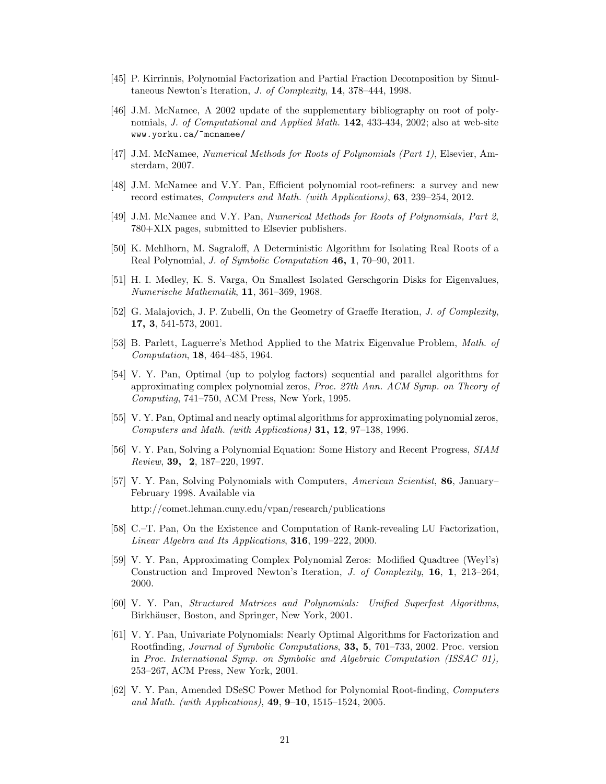- [45] P. Kirrinnis, Polynomial Factorization and Partial Fraction Decomposition by Simultaneous Newton's Iteration, *J. of Complexity*, **14**, 378–444, 1998.
- [46] J.M. McNamee, A 2002 update of the supplementary bibliography on root of polynomials, *J. of Computational and Applied Math.* **142**, 433-434, 2002; also at web-site www.yorku.ca/~mcnamee/
- [47] J.M. McNamee, *Numerical Methods for Roots of Polynomials (Part 1)*, Elsevier, Amsterdam, 2007.
- [48] J.M. McNamee and V.Y. Pan, Efficient polynomial root-refiners: a survey and new record estimates, *Computers and Math. (with Applications)*, **63**, 239–254, 2012.
- [49] J.M. McNamee and V.Y. Pan, *Numerical Methods for Roots of Polynomials, Part 2*, 780+XIX pages, submitted to Elsevier publishers.
- [50] K. Mehlhorn, M. Sagraloff, A Deterministic Algorithm for Isolating Real Roots of a Real Polynomial, *J. of Symbolic Computation* **46, 1**, 70–90, 2011.
- [51] H. I. Medley, K. S. Varga, On Smallest Isolated Gerschgorin Disks for Eigenvalues, *Numerische Mathematik*, **11**, 361–369, 1968.
- [52] G. Malajovich, J. P. Zubelli, On the Geometry of Graeffe Iteration, *J. of Complexity*, **17, 3**, 541-573, 2001.
- [53] B. Parlett, Laguerre's Method Applied to the Matrix Eigenvalue Problem, *Math. of Computation*, **18**, 464–485, 1964.
- [54] V. Y. Pan, Optimal (up to polylog factors) sequential and parallel algorithms for approximating complex polynomial zeros, *Proc. 27th Ann. ACM Symp. on Theory of Computing*, 741–750, ACM Press, New York, 1995.
- [55] V. Y. Pan, Optimal and nearly optimal algorithms for approximating polynomial zeros, *Computers and Math. (with Applications)* **31, 12**, 97–138, 1996.
- [56] V. Y. Pan, Solving a Polynomial Equation: Some History and Recent Progress, *SIAM Review*, **39, 2**, 187–220, 1997.
- [57] V. Y. Pan, Solving Polynomials with Computers, *American Scientist*, **86**, January– February 1998. Available via http://comet.lehman.cuny.edu/vpan/research/publications
- [58] C.–T. Pan, On the Existence and Computation of Rank-revealing LU Factorization, *Linear Algebra and Its Applications*, **316**, 199–222, 2000.
- [59] V. Y. Pan, Approximating Complex Polynomial Zeros: Modified Quadtree (Weyl's) Construction and Improved Newton's Iteration, *J. of Complexity*, **16**, **1**, 213–264, 2000.
- [60] V. Y. Pan, *Structured Matrices and Polynomials: Unified Superfast Algorithms*, Birkhäuser, Boston, and Springer, New York, 2001.
- [61] V. Y. Pan, Univariate Polynomials: Nearly Optimal Algorithms for Factorization and Rootfinding, *Journal of Symbolic Computations*, **33, 5**, 701–733, 2002. Proc. version in *Proc. International Symp. on Symbolic and Algebraic Computation (ISSAC 01),* 253–267, ACM Press, New York, 2001.
- [62] V. Y. Pan, Amended DSeSC Power Method for Polynomial Root-finding, *Computers and Math. (with Applications)*, **49**, **9**–**10**, 1515–1524, 2005.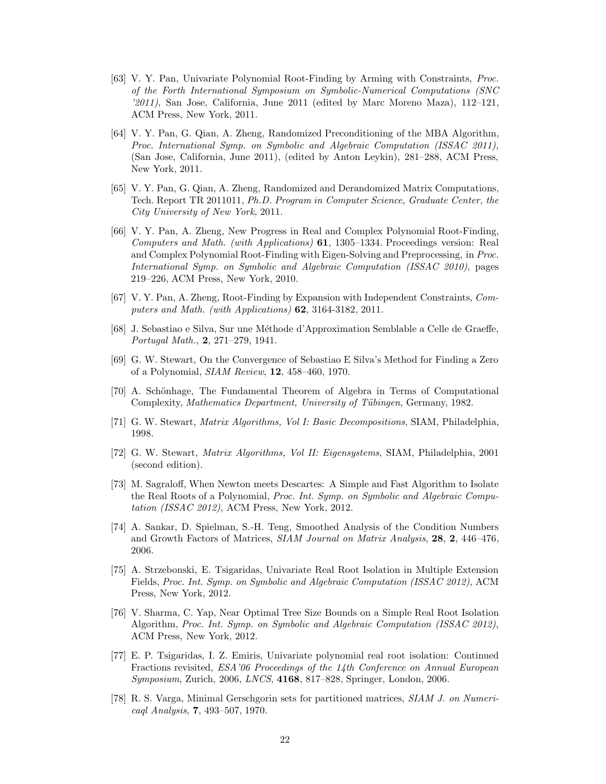- [63] V. Y. Pan, Univariate Polynomial Root-Finding by Arming with Constraints, *Proc. of the Forth International Symposium on Symbolic-Numerical Computations (SNC '2011)*, San Jose, California, June 2011 (edited by Marc Moreno Maza), 112–121, ACM Press, New York, 2011.
- [64] V. Y. Pan, G. Qian, A. Zheng, Randomized Preconditioning of the MBA Algorithm, *Proc. International Symp. on Symbolic and Algebraic Computation (ISSAC 2011)*, (San Jose, California, June 2011), (edited by Anton Leykin), 281–288, ACM Press, New York, 2011.
- [65] V. Y. Pan, G. Qian, A. Zheng, Randomized and Derandomized Matrix Computations, Tech. Report TR 2011011, *Ph.D. Program in Computer Science*, *Graduate Center, the City University of New York*, 2011.
- [66] V. Y. Pan, A. Zheng, New Progress in Real and Complex Polynomial Root-Finding, *Computers and Math. (with Applications)* **61**, 1305–1334. Proceedings version: Real and Complex Polynomial Root-Finding with Eigen-Solving and Preprocessing, in *Proc. International Symp. on Symbolic and Algebraic Computation (ISSAC 2010)*, pages 219–226, ACM Press, New York, 2010.
- [67] V. Y. Pan, A. Zheng, Root-Finding by Expansion with Independent Constraints, *Computers and Math. (with Applications)* **62**, 3164-3182, 2011.
- [68] J. Sebastiao e Silva, Sur une M´ethode d'Approximation Semblable a Celle de Graeffe, *Portugal Math.*, **2**, 271–279, 1941.
- [69] G. W. Stewart, On the Convergence of Sebastiao E Silva's Method for Finding a Zero of a Polynomial, *SIAM Review*, **12**, 458–460, 1970.
- [70] A. Schönhage, The Fundamental Theorem of Algebra in Terms of Computational Complexity, *Mathematics Department, University of T¨ubingen*, Germany, 1982.
- [71] G. W. Stewart, *Matrix Algorithms, Vol I: Basic Decompositions*, SIAM, Philadelphia, 1998.
- [72] G. W. Stewart, *Matrix Algorithms, Vol II: Eigensystems*, SIAM, Philadelphia, 2001 (second edition).
- [73] M. Sagraloff, When Newton meets Descartes: A Simple and Fast Algorithm to Isolate the Real Roots of a Polynomial, *Proc. Int. Symp. on Symbolic and Algebraic Computation (ISSAC 2012)*, ACM Press, New York, 2012.
- [74] A. Sankar, D. Spielman, S.-H. Teng, Smoothed Analysis of the Condition Numbers and Growth Factors of Matrices, *SIAM Journal on Matrix Analysis*, **28**, **2**, 446–476, 2006.
- [75] A. Strzebonski, E. Tsigaridas, Univariate Real Root Isolation in Multiple Extension Fields, *Proc. Int. Symp. on Symbolic and Algebraic Computation (ISSAC 2012)*, ACM Press, New York, 2012.
- [76] V. Sharma, C. Yap, Near Optimal Tree Size Bounds on a Simple Real Root Isolation Algorithm, *Proc. Int. Symp. on Symbolic and Algebraic Computation (ISSAC 2012)*, ACM Press, New York, 2012.
- [77] E. P. Tsigaridas, I. Z. Emiris, Univariate polynomial real root isolation: Continued Fractions revisited, *ESA'06 Proceedings of the 14th Conference on Annual European Symposium*, Zurich, 2006, *LNCS*, **4168**, 817–828, Springer, London, 2006.
- [78] R. S. Varga, Minimal Gerschgorin sets for partitioned matrices, *SIAM J. on Numericaql Analysis*, **7**, 493–507, 1970.